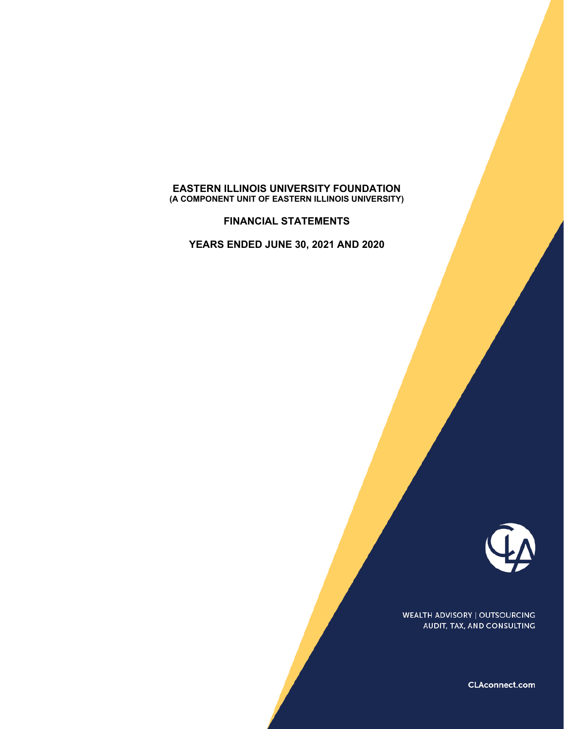#### **EASTERN ILLINOIS UNIVERSITY FOUNDATION (A COMPONENT UNIT OF EASTERN ILLINOIS UNIVERSITY)**

**FINANCIAL STATEMENTS**

**YEARS ENDED JUNE 30, 2021 AND 2020**



**WEALTH ADVISORY | OUTSOURCING** AUDIT, TAX, AND CONSULTING

CLAconnect.com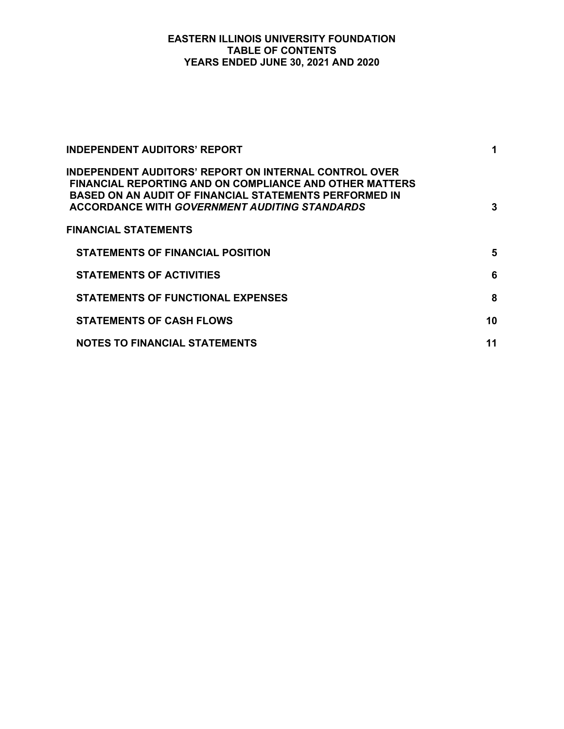# **EASTERN ILLINOIS UNIVERSITY FOUNDATION TABLE OF CONTENTS YEARS ENDED JUNE 30, 2021 AND 2020**

| <b>INDEPENDENT AUDITORS' REPORT</b>                                                                                                                                                                                                              | 1  |
|--------------------------------------------------------------------------------------------------------------------------------------------------------------------------------------------------------------------------------------------------|----|
| <b>INDEPENDENT AUDITORS' REPORT ON INTERNAL CONTROL OVER</b><br><b>FINANCIAL REPORTING AND ON COMPLIANCE AND OTHER MATTERS</b><br>BASED ON AN AUDIT OF FINANCIAL STATEMENTS PERFORMED IN<br><b>ACCORDANCE WITH GOVERNMENT AUDITING STANDARDS</b> | 3  |
| <b>FINANCIAL STATEMENTS</b>                                                                                                                                                                                                                      |    |
| STATEMENTS OF FINANCIAL POSITION                                                                                                                                                                                                                 | 5  |
| <b>STATEMENTS OF ACTIVITIES</b>                                                                                                                                                                                                                  | 6  |
| <b>STATEMENTS OF FUNCTIONAL EXPENSES</b>                                                                                                                                                                                                         | 8  |
| <b>STATEMENTS OF CASH FLOWS</b>                                                                                                                                                                                                                  | 10 |
| <b>NOTES TO FINANCIAL STATEMENTS</b>                                                                                                                                                                                                             | 11 |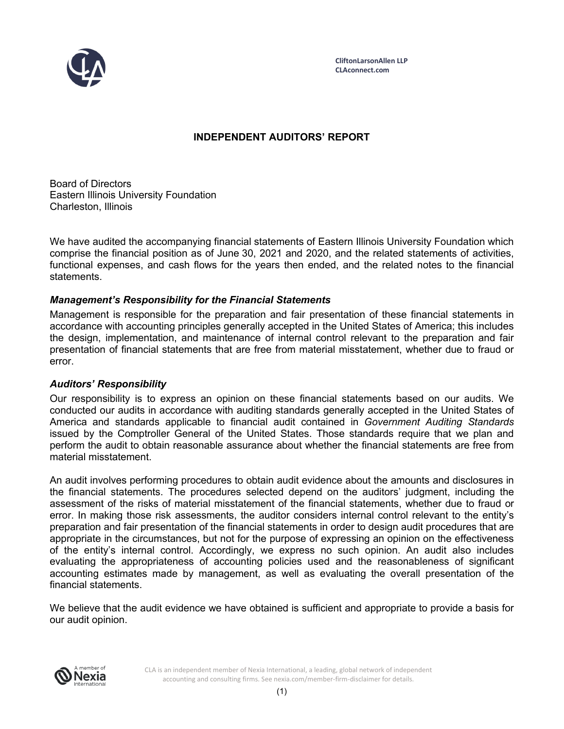

**CliftonLarsonAllen LLP CLAconnect.com**

# **INDEPENDENT AUDITORS' REPORT**

Board of Directors Eastern Illinois University Foundation Charleston, Illinois

We have audited the accompanying financial statements of Eastern Illinois University Foundation which comprise the financial position as of June 30, 2021 and 2020, and the related statements of activities, functional expenses, and cash flows for the years then ended, and the related notes to the financial statements.

# *Management's Responsibility for the Financial Statements*

Management is responsible for the preparation and fair presentation of these financial statements in accordance with accounting principles generally accepted in the United States of America; this includes the design, implementation, and maintenance of internal control relevant to the preparation and fair presentation of financial statements that are free from material misstatement, whether due to fraud or error.

# *Auditors' Responsibility*

Our responsibility is to express an opinion on these financial statements based on our audits. We conducted our audits in accordance with auditing standards generally accepted in the United States of America and standards applicable to financial audit contained in *Government Auditing Standards* issued by the Comptroller General of the United States. Those standards require that we plan and perform the audit to obtain reasonable assurance about whether the financial statements are free from material misstatement.

An audit involves performing procedures to obtain audit evidence about the amounts and disclosures in the financial statements. The procedures selected depend on the auditors' judgment, including the assessment of the risks of material misstatement of the financial statements, whether due to fraud or error. In making those risk assessments, the auditor considers internal control relevant to the entity's preparation and fair presentation of the financial statements in order to design audit procedures that are appropriate in the circumstances, but not for the purpose of expressing an opinion on the effectiveness of the entity's internal control. Accordingly, we express no such opinion. An audit also includes evaluating the appropriateness of accounting policies used and the reasonableness of significant accounting estimates made by management, as well as evaluating the overall presentation of the financial statements.

We believe that the audit evidence we have obtained is sufficient and appropriate to provide a basis for our audit opinion.



CLA is an independent member of Nexia International, a leading, global network of independent accounting and consulting firms. See nexia.com/member-firm-disclaimer for details.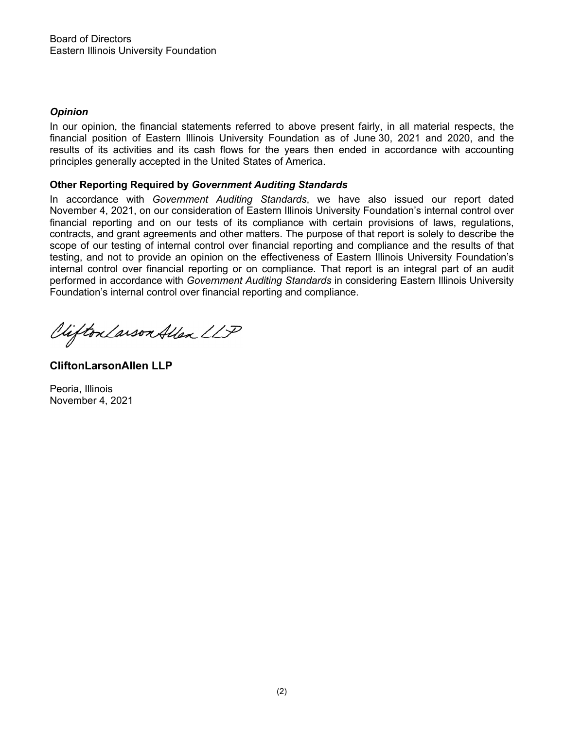# *Opinion*

In our opinion, the financial statements referred to above present fairly, in all material respects, the financial position of Eastern Illinois University Foundation as of June 30, 2021 and 2020, and the results of its activities and its cash flows for the years then ended in accordance with accounting principles generally accepted in the United States of America.

# **Other Reporting Required by** *Government Auditing Standards*

In accordance with *Government Auditing Standards*, we have also issued our report dated November 4, 2021, on our consideration of Eastern Illinois University Foundation's internal control over financial reporting and on our tests of its compliance with certain provisions of laws, regulations, contracts, and grant agreements and other matters. The purpose of that report is solely to describe the scope of our testing of internal control over financial reporting and compliance and the results of that testing, and not to provide an opinion on the effectiveness of Eastern Illinois University Foundation's internal control over financial reporting or on compliance. That report is an integral part of an audit performed in accordance with *Government Auditing Standards* in considering Eastern Illinois University Foundation's internal control over financial reporting and compliance.

Viifton Larson Allen LLP

**CliftonLarsonAllen LLP**

Peoria, Illinois November 4, 2021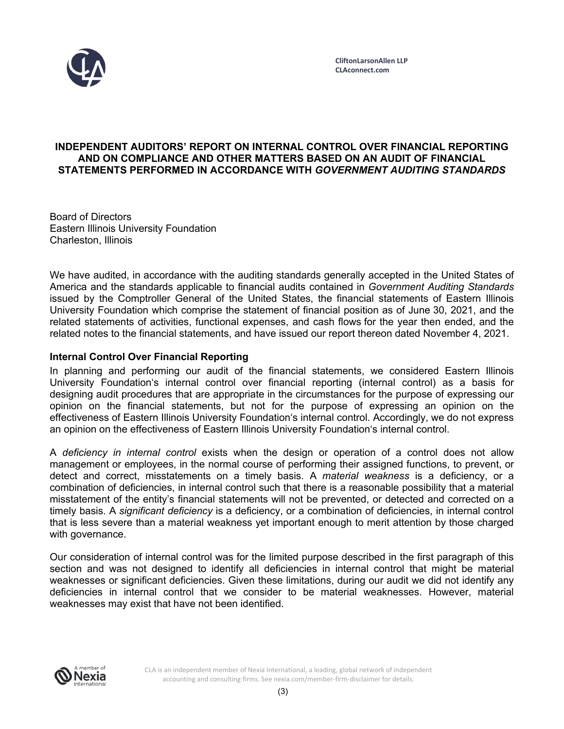

## **INDEPENDENT AUDITORS' REPORT ON INTERNAL CONTROL OVER FINANCIAL REPORTING AND ON COMPLIANCE AND OTHER MATTERS BASED ON AN AUDIT OF FINANCIAL STATEMENTS PERFORMED IN ACCORDANCE WITH** *GOVERNMENT AUDITING STANDARDS*

Board of Directors Eastern Illinois University Foundation Charleston, Illinois

We have audited, in accordance with the auditing standards generally accepted in the United States of America and the standards applicable to financial audits contained in *Government Auditing Standards* issued by the Comptroller General of the United States, the financial statements of Eastern Illinois University Foundation which comprise the statement of financial position as of June 30, 2021, and the related statements of activities, functional expenses, and cash flows for the year then ended, and the related notes to the financial statements, and have issued our report thereon dated November 4, 2021.

# **Internal Control Over Financial Reporting**

In planning and performing our audit of the financial statements, we considered Eastern Illinois University Foundation's internal control over financial reporting (internal control) as a basis for designing audit procedures that are appropriate in the circumstances for the purpose of expressing our opinion on the financial statements, but not for the purpose of expressing an opinion on the effectiveness of Eastern Illinois University Foundation's internal control. Accordingly, we do not express an opinion on the effectiveness of Eastern Illinois University Foundation's internal control.

A *deficiency in internal control* exists when the design or operation of a control does not allow management or employees, in the normal course of performing their assigned functions, to prevent, or detect and correct, misstatements on a timely basis. A *material weakness* is a deficiency, or a combination of deficiencies, in internal control such that there is a reasonable possibility that a material misstatement of the entity's financial statements will not be prevented, or detected and corrected on a timely basis. A *significant deficiency* is a deficiency, or a combination of deficiencies, in internal control that is less severe than a material weakness yet important enough to merit attention by those charged with governance.

Our consideration of internal control was for the limited purpose described in the first paragraph of this section and was not designed to identify all deficiencies in internal control that might be material weaknesses or significant deficiencies. Given these limitations, during our audit we did not identify any deficiencies in internal control that we consider to be material weaknesses. However, material weaknesses may exist that have not been identified.

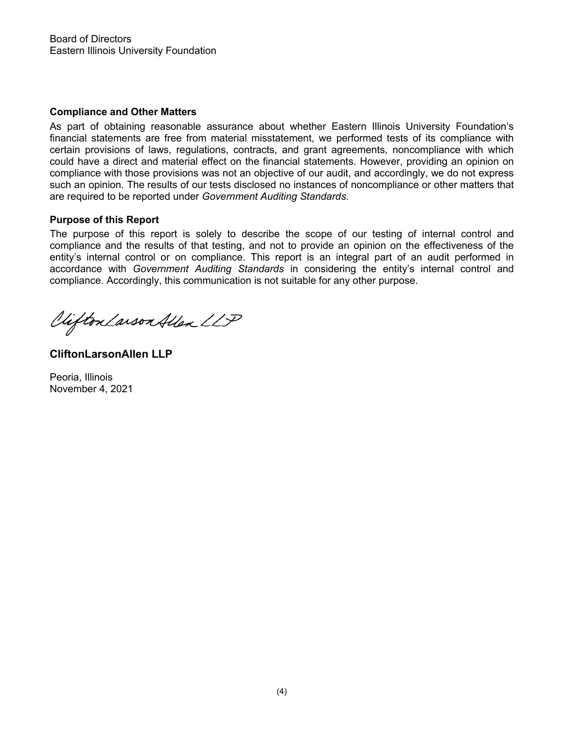## **Compliance and Other Matters**

As part of obtaining reasonable assurance about whether Eastern Illinois University Foundation's financial statements are free from material misstatement, we performed tests of its compliance with certain provisions of laws, regulations, contracts, and grant agreements, noncompliance with which could have a direct and material effect on the financial statements. However, providing an opinion on compliance with those provisions was not an objective of our audit, and accordingly, we do not express such an opinion. The results of our tests disclosed no instances of noncompliance or other matters that are required to be reported under *Government Auditing Standards*.

## **Purpose of this Report**

The purpose of this report is solely to describe the scope of our testing of internal control and compliance and the results of that testing, and not to provide an opinion on the effectiveness of the entity's internal control or on compliance. This report is an integral part of an audit performed in accordance with *Government Auditing Standards* in considering the entity's internal control and compliance. Accordingly, this communication is not suitable for any other purpose.

Viifton Larson Allen LLP

**CliftonLarsonAllen LLP**

Peoria, Illinois November 4, 2021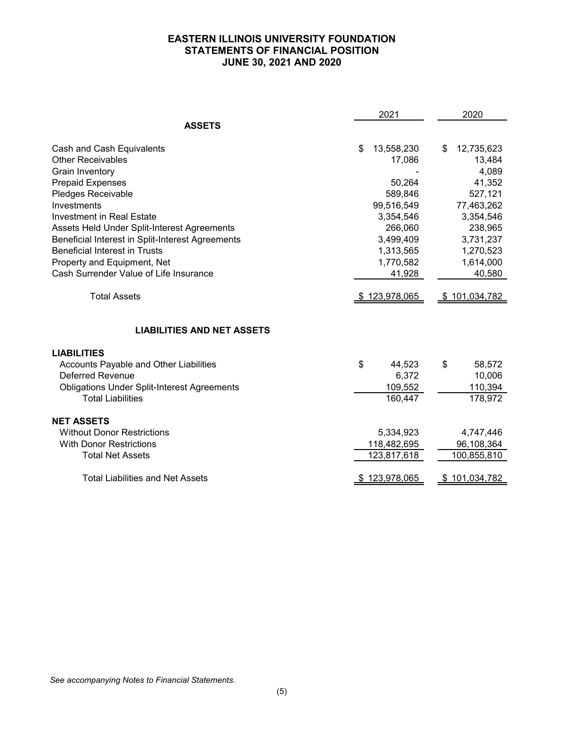# **EASTERN ILLINOIS UNIVERSITY FOUNDATION STATEMENTS OF FINANCIAL POSITION JUNE 30, 2021 AND 2020**

|                                                    | 2021             | 2020                 |
|----------------------------------------------------|------------------|----------------------|
| <b>ASSETS</b>                                      |                  |                      |
| Cash and Cash Equivalents                          | \$<br>13,558,230 | \$<br>12,735,623     |
| <b>Other Receivables</b>                           | 17,086           | 13,484               |
| Grain Inventory                                    |                  | 4,089                |
| <b>Prepaid Expenses</b>                            | 50,264           | 41,352               |
| Pledges Receivable                                 | 589,846          | 527,121              |
| Investments                                        | 99,516,549       | 77,463,262           |
| <b>Investment in Real Estate</b>                   | 3,354,546        | 3,354,546            |
| Assets Held Under Split-Interest Agreements        | 266,060          | 238,965              |
| Beneficial Interest in Split-Interest Agreements   | 3,499,409        | 3,731,237            |
| <b>Beneficial Interest in Trusts</b>               | 1,313,565        | 1,270,523            |
| Property and Equipment, Net                        | 1,770,582        | 1,614,000            |
| Cash Surrender Value of Life Insurance             | 41,928           | 40,580               |
| <b>Total Assets</b>                                | 123,978,065      | <u>\$101,034,782</u> |
| <b>LIABILITIES AND NET ASSETS</b>                  |                  |                      |
| <b>LIABILITIES</b>                                 |                  |                      |
| Accounts Payable and Other Liabilities             | \$<br>44,523     | \$<br>58,572         |
| <b>Deferred Revenue</b>                            | 6,372            | 10,006               |
| <b>Obligations Under Split-Interest Agreements</b> | 109,552          | 110,394              |
| <b>Total Liabilities</b>                           | 160,447          | 178,972              |
| <b>NET ASSETS</b>                                  |                  |                      |
| <b>Without Donor Restrictions</b>                  | 5,334,923        | 4,747,446            |
| <b>With Donor Restrictions</b>                     | 118,482,695      | 96,108,364           |
| <b>Total Net Assets</b>                            | 123,817,618      | 100,855,810          |
| <b>Total Liabilities and Net Assets</b>            | \$123,978,065    | \$101,034,782        |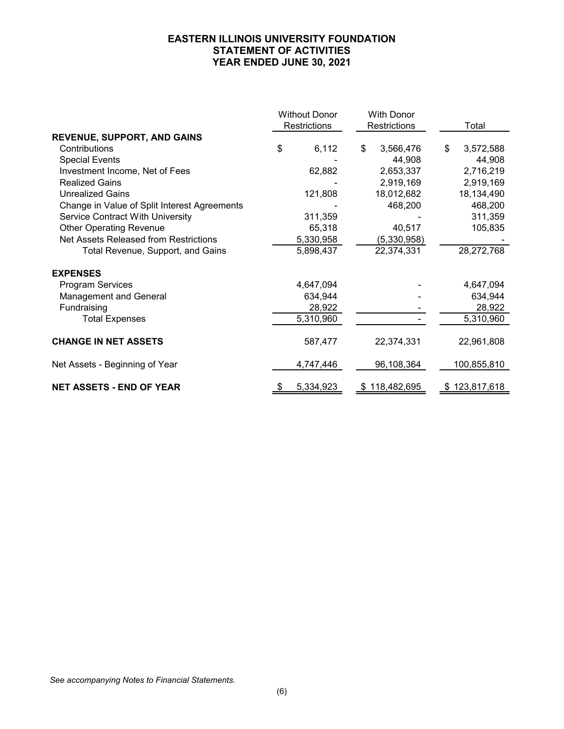# **EASTERN ILLINOIS UNIVERSITY FOUNDATION STATEMENT OF ACTIVITIES YEAR ENDED JUNE 30, 2021**

| <b>Without Donor</b><br><b>Restrictions</b>  |    | <b>With Donor</b><br>Restrictions |    | Total         |                 |
|----------------------------------------------|----|-----------------------------------|----|---------------|-----------------|
| <b>REVENUE, SUPPORT, AND GAINS</b>           |    |                                   |    |               |                 |
| Contributions                                | \$ | 6,112                             | \$ | 3,566,476     | \$<br>3,572,588 |
| <b>Special Events</b>                        |    |                                   |    | 44,908        | 44,908          |
| Investment Income, Net of Fees               |    | 62,882                            |    | 2,653,337     | 2,716,219       |
| <b>Realized Gains</b>                        |    |                                   |    | 2,919,169     | 2,919,169       |
| <b>Unrealized Gains</b>                      |    | 121,808                           |    | 18,012,682    | 18,134,490      |
| Change in Value of Split Interest Agreements |    |                                   |    | 468,200       | 468,200         |
| <b>Service Contract With University</b>      |    | 311,359                           |    |               | 311,359         |
| <b>Other Operating Revenue</b>               |    | 65,318                            |    | 40,517        | 105,835         |
| Net Assets Released from Restrictions        |    | 5,330,958                         |    | (5,330,958)   |                 |
| Total Revenue, Support, and Gains            |    | 5,898,437                         |    | 22,374,331    | 28,272,768      |
| <b>EXPENSES</b>                              |    |                                   |    |               |                 |
| <b>Program Services</b>                      |    | 4,647,094                         |    |               | 4,647,094       |
| Management and General                       |    | 634,944                           |    |               | 634,944         |
| Fundraising                                  |    | 28,922                            |    |               | 28,922          |
| <b>Total Expenses</b>                        |    | 5,310,960                         |    |               | 5,310,960       |
| <b>CHANGE IN NET ASSETS</b>                  |    | 587,477                           |    | 22,374,331    | 22,961,808      |
| Net Assets - Beginning of Year               |    | 4,747,446                         |    | 96,108,364    | 100,855,810     |
| <b>NET ASSETS - END OF YEAR</b>              | S  | 5,334,923                         |    | \$118,482,695 | \$123,817,618   |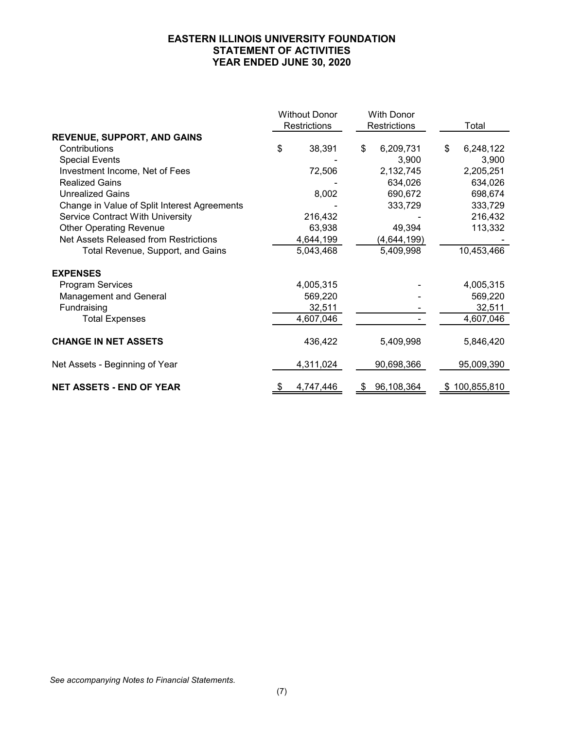# **EASTERN ILLINOIS UNIVERSITY FOUNDATION STATEMENT OF ACTIVITIES YEAR ENDED JUNE 30, 2020**

|                                              |    | <b>Without Donor</b> | With Donor |              |    |               |
|----------------------------------------------|----|----------------------|------------|--------------|----|---------------|
|                                              |    | Restrictions         |            | Restrictions |    | Total         |
| <b>REVENUE, SUPPORT, AND GAINS</b>           |    |                      |            |              |    |               |
| Contributions                                | \$ | 38,391               | \$         | 6,209,731    | \$ | 6,248,122     |
| <b>Special Events</b>                        |    |                      |            | 3,900        |    | 3,900         |
| Investment Income, Net of Fees               |    | 72,506               |            | 2,132,745    |    | 2,205,251     |
| <b>Realized Gains</b>                        |    |                      |            | 634,026      |    | 634,026       |
| <b>Unrealized Gains</b>                      |    | 8,002                |            | 690,672      |    | 698,674       |
| Change in Value of Split Interest Agreements |    |                      |            | 333,729      |    | 333,729       |
| <b>Service Contract With University</b>      |    | 216,432              |            |              |    | 216,432       |
| <b>Other Operating Revenue</b>               |    | 63,938               |            | 49,394       |    | 113,332       |
| Net Assets Released from Restrictions        |    | 4,644,199            |            | (4,644,199)  |    |               |
| Total Revenue, Support, and Gains            |    | 5,043,468            |            | 5,409,998    |    | 10,453,466    |
| <b>EXPENSES</b>                              |    |                      |            |              |    |               |
| <b>Program Services</b>                      |    | 4,005,315            |            |              |    | 4,005,315     |
| <b>Management and General</b>                |    | 569,220              |            |              |    | 569,220       |
| Fundraising                                  |    | 32,511               |            |              |    | 32,511        |
| <b>Total Expenses</b>                        |    | 4,607,046            |            |              |    | 4,607,046     |
| <b>CHANGE IN NET ASSETS</b>                  |    | 436,422              |            | 5,409,998    |    | 5,846,420     |
| Net Assets - Beginning of Year               |    | 4,311,024            |            | 90,698,366   |    | 95,009,390    |
| <b>NET ASSETS - END OF YEAR</b>              | S  | 4,747,446            | \$         | 96,108,364   |    | \$100,855,810 |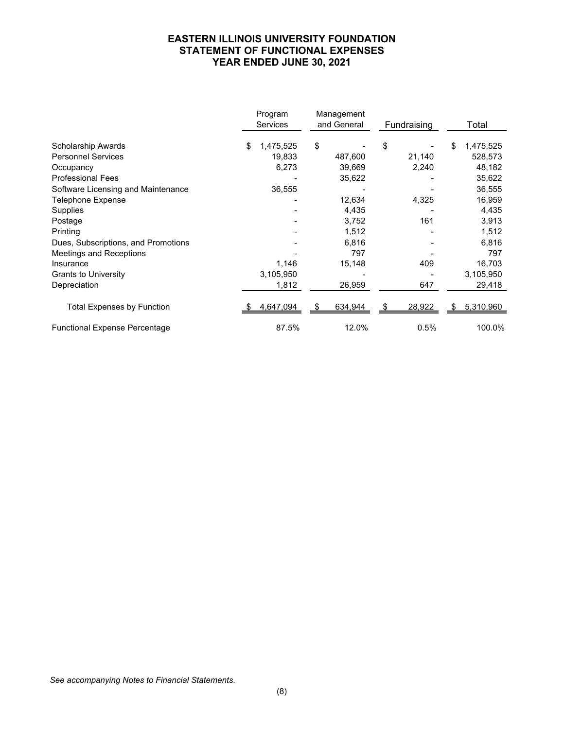# **EASTERN ILLINOIS UNIVERSITY FOUNDATION STATEMENT OF FUNCTIONAL EXPENSES YEAR ENDED JUNE 30, 2021**

|                                      | Program<br><b>Services</b> | Management<br>and General | Fundraising | Total           |
|--------------------------------------|----------------------------|---------------------------|-------------|-----------------|
| Scholarship Awards                   | \$<br>1,475,525            | \$                        | \$          | \$<br>1,475,525 |
| <b>Personnel Services</b>            | 19,833                     | 487,600                   | 21,140      | 528,573         |
| Occupancy                            | 6,273                      | 39,669                    | 2,240       | 48,182          |
| <b>Professional Fees</b>             |                            | 35,622                    |             | 35,622          |
| Software Licensing and Maintenance   | 36,555                     |                           |             | 36,555          |
| Telephone Expense                    |                            | 12,634                    | 4,325       | 16,959          |
| Supplies                             |                            | 4,435                     |             | 4,435           |
| Postage                              |                            | 3,752                     | 161         | 3,913           |
| Printing                             |                            | 1,512                     |             | 1,512           |
| Dues, Subscriptions, and Promotions  |                            | 6,816                     |             | 6,816           |
| <b>Meetings and Receptions</b>       |                            | 797                       |             | 797             |
| Insurance                            | 1,146                      | 15,148                    | 409         | 16,703          |
| <b>Grants to University</b>          | 3,105,950                  |                           |             | 3,105,950       |
| Depreciation                         | 1,812                      | 26,959                    | 647         | 29,418          |
| <b>Total Expenses by Function</b>    | 4,647,094                  | 634,944                   | 28,922      | 5,310,960       |
| <b>Functional Expense Percentage</b> | 87.5%                      | 12.0%                     | 0.5%        | 100.0%          |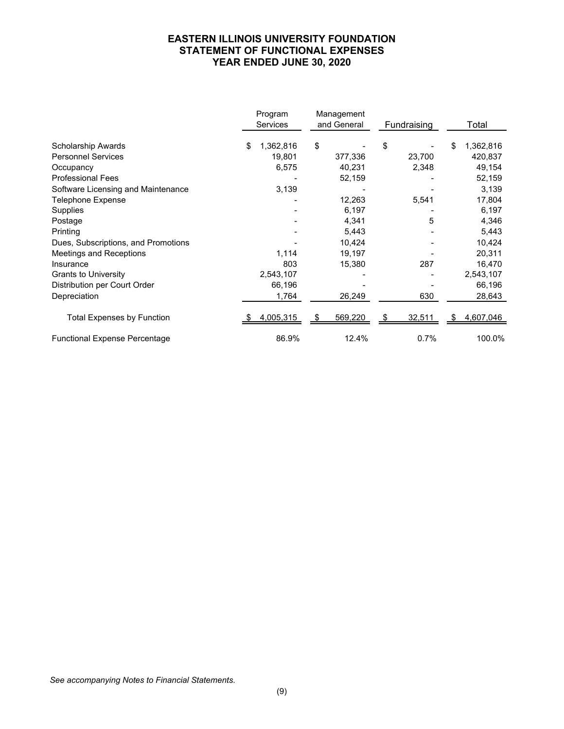# **EASTERN ILLINOIS UNIVERSITY FOUNDATION STATEMENT OF FUNCTIONAL EXPENSES YEAR ENDED JUNE 30, 2020**

|                                      | Program<br>Services | Management<br>and General | Fundraising | Total           |
|--------------------------------------|---------------------|---------------------------|-------------|-----------------|
| Scholarship Awards                   | \$<br>1,362,816     | \$                        | \$          | \$<br>1,362,816 |
| <b>Personnel Services</b>            | 19,801              | 377,336                   | 23,700      | 420,837         |
| Occupancy                            | 6,575               | 40,231                    | 2,348       | 49,154          |
| <b>Professional Fees</b>             |                     | 52,159                    |             | 52,159          |
| Software Licensing and Maintenance   | 3,139               |                           |             | 3,139           |
| <b>Telephone Expense</b>             |                     | 12,263                    | 5,541       | 17,804          |
| Supplies                             |                     | 6,197                     |             | 6,197           |
| Postage                              |                     | 4,341                     | 5           | 4,346           |
| Printing                             |                     | 5,443                     |             | 5,443           |
| Dues, Subscriptions, and Promotions  |                     | 10,424                    |             | 10,424          |
| Meetings and Receptions              | 1,114               | 19,197                    |             | 20,311          |
| Insurance                            | 803                 | 15,380                    | 287         | 16,470          |
| <b>Grants to University</b>          | 2,543,107           |                           |             | 2,543,107       |
| Distribution per Court Order         | 66,196              |                           |             | 66,196          |
| Depreciation                         | 1,764               | 26,249                    | 630         | 28,643          |
| <b>Total Expenses by Function</b>    | 4,005,315           | 569,220                   | 32,511      | 4,607,046       |
| <b>Functional Expense Percentage</b> | 86.9%               | 12.4%                     | 0.7%        | 100.0%          |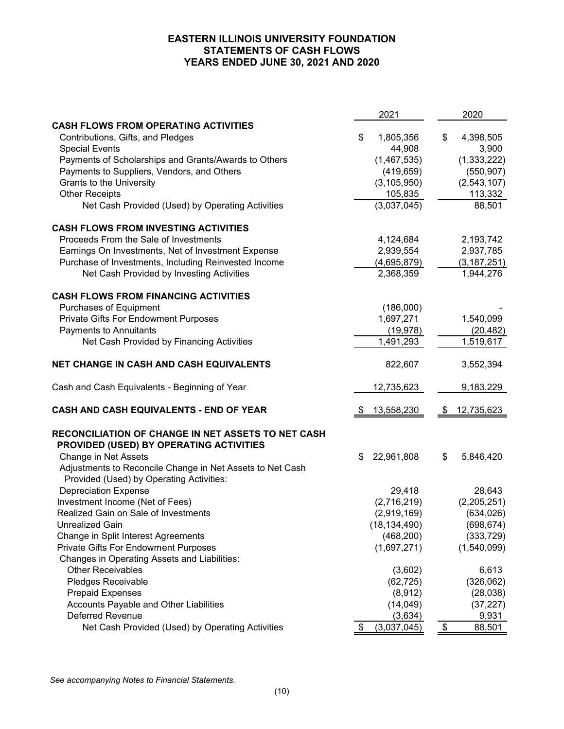# **EASTERN ILLINOIS UNIVERSITY FOUNDATION STATEMENTS OF CASH FLOWS YEARS ENDED JUNE 30, 2021 AND 2020**

|                                                           | 2021              | 2020             |
|-----------------------------------------------------------|-------------------|------------------|
| <b>CASH FLOWS FROM OPERATING ACTIVITIES</b>               |                   |                  |
| Contributions, Gifts, and Pledges                         | \$<br>1,805,356   | \$<br>4,398,505  |
| <b>Special Events</b>                                     | 44,908            | 3,900            |
| Payments of Scholarships and Grants/Awards to Others      | (1,467,535)       | (1, 333, 222)    |
| Payments to Suppliers, Vendors, and Others                | (419, 659)        | (550, 907)       |
| Grants to the University                                  | (3, 105, 950)     | (2,543,107)      |
| <b>Other Receipts</b>                                     | 105,835           | 113,332          |
| Net Cash Provided (Used) by Operating Activities          | (3,037,045)       | 88,501           |
| <b>CASH FLOWS FROM INVESTING ACTIVITIES</b>               |                   |                  |
| Proceeds From the Sale of Investments                     | 4,124,684         | 2,193,742        |
| Earnings On Investments, Net of Investment Expense        | 2,939,554         | 2,937,785        |
| Purchase of Investments, Including Reinvested Income      | (4,695,879)       | (3, 187, 251)    |
| Net Cash Provided by Investing Activities                 | 2,368,359         | 1,944,276        |
| <b>CASH FLOWS FROM FINANCING ACTIVITIES</b>               |                   |                  |
| <b>Purchases of Equipment</b>                             | (186,000)         |                  |
| <b>Private Gifts For Endowment Purposes</b>               | 1,697,271         | 1,540,099        |
| Payments to Annuitants                                    | (19, 978)         | (20, 482)        |
| Net Cash Provided by Financing Activities                 | 1,491,293         | 1,519,617        |
| NET CHANGE IN CASH AND CASH EQUIVALENTS                   | 822,607           | 3,552,394        |
| Cash and Cash Equivalents - Beginning of Year             | 12,735,623        | 9,183,229        |
| CASH AND CASH EQUIVALENTS - END OF YEAR                   | 13,558,230<br>-\$ | 12,735,623<br>\$ |
| RECONCILIATION OF CHANGE IN NET ASSETS TO NET CASH        |                   |                  |
| PROVIDED (USED) BY OPERATING ACTIVITIES                   |                   |                  |
| Change in Net Assets                                      | 22,961,808<br>\$  | \$<br>5,846,420  |
| Adjustments to Reconcile Change in Net Assets to Net Cash |                   |                  |
| Provided (Used) by Operating Activities:                  |                   |                  |
| <b>Depreciation Expense</b>                               | 29,418            | 28,643           |
| Investment Income (Net of Fees)                           | (2,716,219)       | (2,205,251)      |
| Realized Gain on Sale of Investments                      | (2,919,169)       | (634, 026)       |
| Unrealized Gain                                           | (18, 134, 490)    | (698, 674)       |
| Change in Split Interest Agreements                       | (468, 200)        | (333, 729)       |
| <b>Private Gifts For Endowment Purposes</b>               | (1,697,271)       | (1,540,099)      |
| Changes in Operating Assets and Liabilities:              |                   |                  |
| <b>Other Receivables</b>                                  | (3,602)           | 6,613            |
| Pledges Receivable                                        | (62, 725)         | (326,062)        |
| <b>Prepaid Expenses</b>                                   | (8,912)           | (28,038)         |
| Accounts Payable and Other Liabilities                    | (14, 049)         | (37, 227)        |
| <b>Deferred Revenue</b>                                   | (3,634)           | 9,931            |
| Net Cash Provided (Used) by Operating Activities          | (3,037,045)<br>\$ | \$<br>88,501     |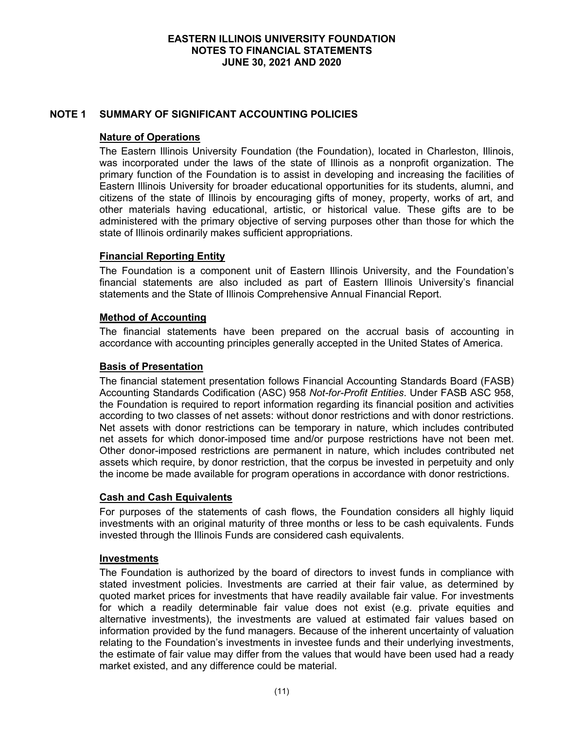## **NOTE 1 SUMMARY OF SIGNIFICANT ACCOUNTING POLICIES**

#### **Nature of Operations**

The Eastern Illinois University Foundation (the Foundation), located in Charleston, Illinois, was incorporated under the laws of the state of Illinois as a nonprofit organization. The primary function of the Foundation is to assist in developing and increasing the facilities of Eastern Illinois University for broader educational opportunities for its students, alumni, and citizens of the state of Illinois by encouraging gifts of money, property, works of art, and other materials having educational, artistic, or historical value. These gifts are to be administered with the primary objective of serving purposes other than those for which the state of Illinois ordinarily makes sufficient appropriations.

## **Financial Reporting Entity**

The Foundation is a component unit of Eastern Illinois University, and the Foundation's financial statements are also included as part of Eastern Illinois University's financial statements and the State of Illinois Comprehensive Annual Financial Report.

## **Method of Accounting**

The financial statements have been prepared on the accrual basis of accounting in accordance with accounting principles generally accepted in the United States of America.

#### **Basis of Presentation**

The financial statement presentation follows Financial Accounting Standards Board (FASB) Accounting Standards Codification (ASC) 958 *Not-for-Profit Entities*. Under FASB ASC 958, the Foundation is required to report information regarding its financial position and activities according to two classes of net assets: without donor restrictions and with donor restrictions. Net assets with donor restrictions can be temporary in nature, which includes contributed net assets for which donor-imposed time and/or purpose restrictions have not been met. Other donor-imposed restrictions are permanent in nature, which includes contributed net assets which require, by donor restriction, that the corpus be invested in perpetuity and only the income be made available for program operations in accordance with donor restrictions.

#### **Cash and Cash Equivalents**

For purposes of the statements of cash flows, the Foundation considers all highly liquid investments with an original maturity of three months or less to be cash equivalents. Funds invested through the Illinois Funds are considered cash equivalents.

#### **Investments**

The Foundation is authorized by the board of directors to invest funds in compliance with stated investment policies. Investments are carried at their fair value, as determined by quoted market prices for investments that have readily available fair value. For investments for which a readily determinable fair value does not exist (e.g. private equities and alternative investments), the investments are valued at estimated fair values based on information provided by the fund managers. Because of the inherent uncertainty of valuation relating to the Foundation's investments in investee funds and their underlying investments, the estimate of fair value may differ from the values that would have been used had a ready market existed, and any difference could be material.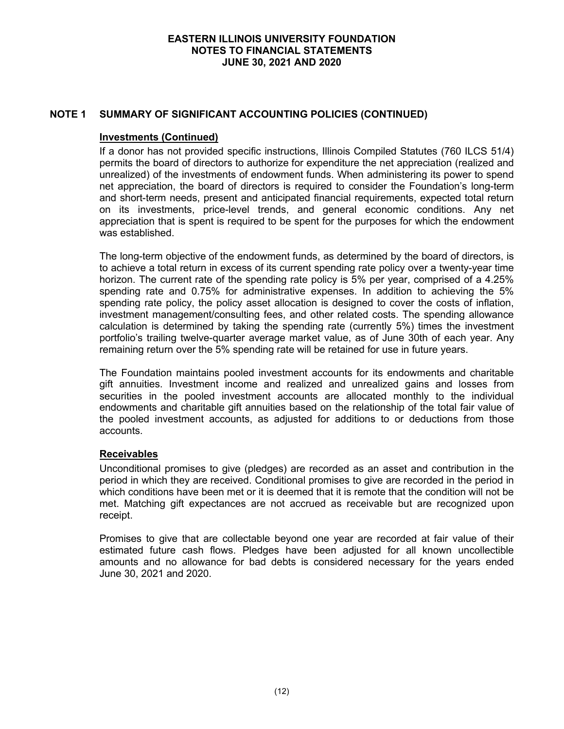## **NOTE 1 SUMMARY OF SIGNIFICANT ACCOUNTING POLICIES (CONTINUED)**

#### **Investments (Continued)**

If a donor has not provided specific instructions, Illinois Compiled Statutes (760 ILCS 51/4) permits the board of directors to authorize for expenditure the net appreciation (realized and unrealized) of the investments of endowment funds. When administering its power to spend net appreciation, the board of directors is required to consider the Foundation's long-term and short-term needs, present and anticipated financial requirements, expected total return on its investments, price-level trends, and general economic conditions. Any net appreciation that is spent is required to be spent for the purposes for which the endowment was established.

The long-term objective of the endowment funds, as determined by the board of directors, is to achieve a total return in excess of its current spending rate policy over a twenty-year time horizon. The current rate of the spending rate policy is 5% per year, comprised of a 4.25% spending rate and 0.75% for administrative expenses. In addition to achieving the 5% spending rate policy, the policy asset allocation is designed to cover the costs of inflation, investment management/consulting fees, and other related costs. The spending allowance calculation is determined by taking the spending rate (currently 5%) times the investment portfolio's trailing twelve-quarter average market value, as of June 30th of each year. Any remaining return over the 5% spending rate will be retained for use in future years.

The Foundation maintains pooled investment accounts for its endowments and charitable gift annuities. Investment income and realized and unrealized gains and losses from securities in the pooled investment accounts are allocated monthly to the individual endowments and charitable gift annuities based on the relationship of the total fair value of the pooled investment accounts, as adjusted for additions to or deductions from those accounts.

# **Receivables**

Unconditional promises to give (pledges) are recorded as an asset and contribution in the period in which they are received. Conditional promises to give are recorded in the period in which conditions have been met or it is deemed that it is remote that the condition will not be met. Matching gift expectances are not accrued as receivable but are recognized upon receipt.

Promises to give that are collectable beyond one year are recorded at fair value of their estimated future cash flows. Pledges have been adjusted for all known uncollectible amounts and no allowance for bad debts is considered necessary for the years ended June 30, 2021 and 2020.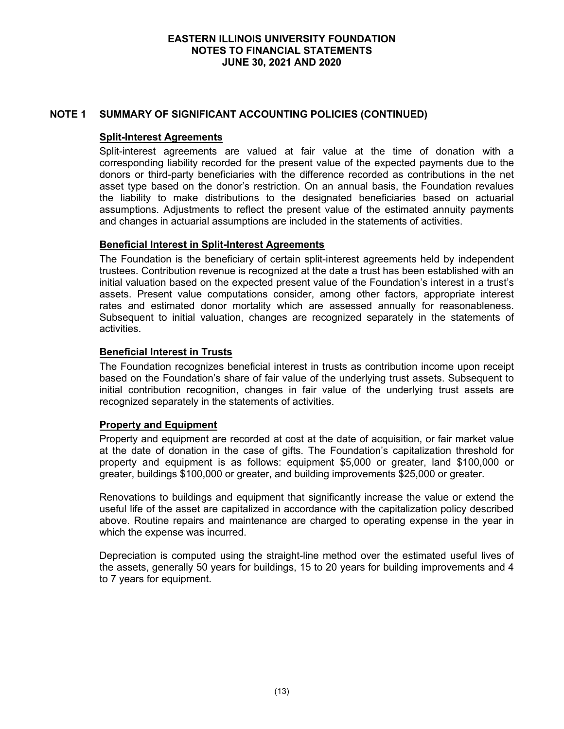## **NOTE 1 SUMMARY OF SIGNIFICANT ACCOUNTING POLICIES (CONTINUED)**

#### **Split-Interest Agreements**

Split-interest agreements are valued at fair value at the time of donation with a corresponding liability recorded for the present value of the expected payments due to the donors or third-party beneficiaries with the difference recorded as contributions in the net asset type based on the donor's restriction. On an annual basis, the Foundation revalues the liability to make distributions to the designated beneficiaries based on actuarial assumptions. Adjustments to reflect the present value of the estimated annuity payments and changes in actuarial assumptions are included in the statements of activities.

## **Beneficial Interest in Split-Interest Agreements**

The Foundation is the beneficiary of certain split-interest agreements held by independent trustees. Contribution revenue is recognized at the date a trust has been established with an initial valuation based on the expected present value of the Foundation's interest in a trust's assets. Present value computations consider, among other factors, appropriate interest rates and estimated donor mortality which are assessed annually for reasonableness. Subsequent to initial valuation, changes are recognized separately in the statements of activities.

## **Beneficial Interest in Trusts**

The Foundation recognizes beneficial interest in trusts as contribution income upon receipt based on the Foundation's share of fair value of the underlying trust assets. Subsequent to initial contribution recognition, changes in fair value of the underlying trust assets are recognized separately in the statements of activities.

#### **Property and Equipment**

Property and equipment are recorded at cost at the date of acquisition, or fair market value at the date of donation in the case of gifts. The Foundation's capitalization threshold for property and equipment is as follows: equipment \$5,000 or greater, land \$100,000 or greater, buildings \$100,000 or greater, and building improvements \$25,000 or greater.

Renovations to buildings and equipment that significantly increase the value or extend the useful life of the asset are capitalized in accordance with the capitalization policy described above. Routine repairs and maintenance are charged to operating expense in the year in which the expense was incurred.

Depreciation is computed using the straight-line method over the estimated useful lives of the assets, generally 50 years for buildings, 15 to 20 years for building improvements and 4 to 7 years for equipment.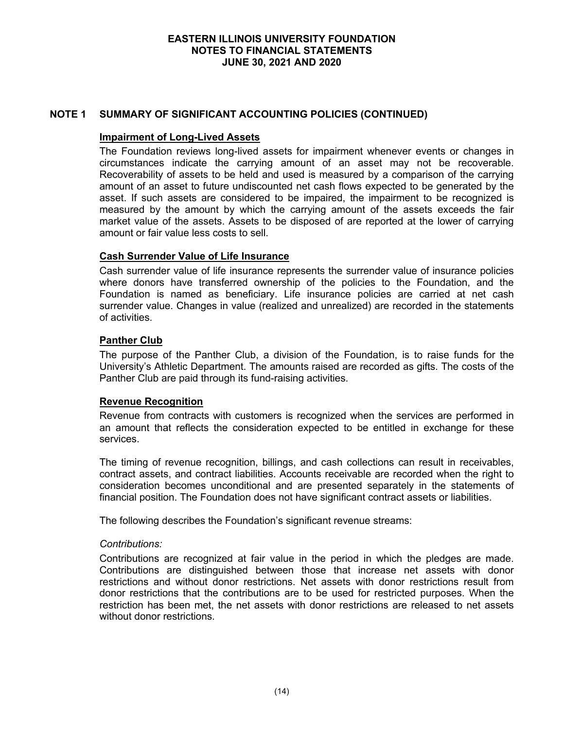# **NOTE 1 SUMMARY OF SIGNIFICANT ACCOUNTING POLICIES (CONTINUED)**

#### **Impairment of Long-Lived Assets**

The Foundation reviews long-lived assets for impairment whenever events or changes in circumstances indicate the carrying amount of an asset may not be recoverable. Recoverability of assets to be held and used is measured by a comparison of the carrying amount of an asset to future undiscounted net cash flows expected to be generated by the asset. If such assets are considered to be impaired, the impairment to be recognized is measured by the amount by which the carrying amount of the assets exceeds the fair market value of the assets. Assets to be disposed of are reported at the lower of carrying amount or fair value less costs to sell.

## **Cash Surrender Value of Life Insurance**

Cash surrender value of life insurance represents the surrender value of insurance policies where donors have transferred ownership of the policies to the Foundation, and the Foundation is named as beneficiary. Life insurance policies are carried at net cash surrender value. Changes in value (realized and unrealized) are recorded in the statements of activities.

## **Panther Club**

The purpose of the Panther Club, a division of the Foundation, is to raise funds for the University's Athletic Department. The amounts raised are recorded as gifts. The costs of the Panther Club are paid through its fund-raising activities.

# **Revenue Recognition**

Revenue from contracts with customers is recognized when the services are performed in an amount that reflects the consideration expected to be entitled in exchange for these services.

The timing of revenue recognition, billings, and cash collections can result in receivables, contract assets, and contract liabilities. Accounts receivable are recorded when the right to consideration becomes unconditional and are presented separately in the statements of financial position. The Foundation does not have significant contract assets or liabilities.

The following describes the Foundation's significant revenue streams:

#### *Contributions:*

Contributions are recognized at fair value in the period in which the pledges are made. Contributions are distinguished between those that increase net assets with donor restrictions and without donor restrictions. Net assets with donor restrictions result from donor restrictions that the contributions are to be used for restricted purposes. When the restriction has been met, the net assets with donor restrictions are released to net assets without donor restrictions.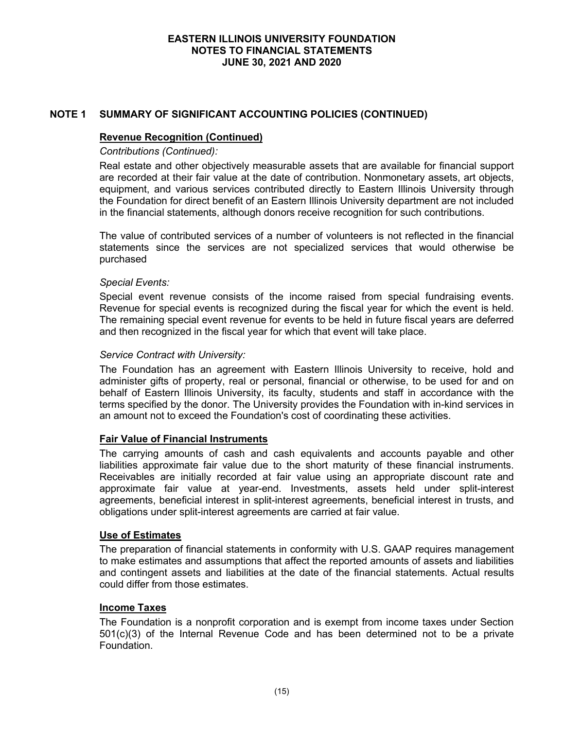# **NOTE 1 SUMMARY OF SIGNIFICANT ACCOUNTING POLICIES (CONTINUED)**

#### **Revenue Recognition (Continued)**

*Contributions (Continued):*

Real estate and other objectively measurable assets that are available for financial support are recorded at their fair value at the date of contribution. Nonmonetary assets, art objects, equipment, and various services contributed directly to Eastern Illinois University through the Foundation for direct benefit of an Eastern Illinois University department are not included in the financial statements, although donors receive recognition for such contributions.

The value of contributed services of a number of volunteers is not reflected in the financial statements since the services are not specialized services that would otherwise be purchased

#### *Special Events:*

Special event revenue consists of the income raised from special fundraising events. Revenue for special events is recognized during the fiscal year for which the event is held. The remaining special event revenue for events to be held in future fiscal years are deferred and then recognized in the fiscal year for which that event will take place.

#### *Service Contract with University:*

The Foundation has an agreement with Eastern Illinois University to receive, hold and administer gifts of property, real or personal, financial or otherwise, to be used for and on behalf of Eastern Illinois University, its faculty, students and staff in accordance with the terms specified by the donor. The University provides the Foundation with in-kind services in an amount not to exceed the Foundation's cost of coordinating these activities.

#### **Fair Value of Financial Instruments**

The carrying amounts of cash and cash equivalents and accounts payable and other liabilities approximate fair value due to the short maturity of these financial instruments. Receivables are initially recorded at fair value using an appropriate discount rate and approximate fair value at year-end. Investments, assets held under split-interest agreements, beneficial interest in split-interest agreements, beneficial interest in trusts, and obligations under split-interest agreements are carried at fair value.

#### **Use of Estimates**

The preparation of financial statements in conformity with U.S. GAAP requires management to make estimates and assumptions that affect the reported amounts of assets and liabilities and contingent assets and liabilities at the date of the financial statements. Actual results could differ from those estimates.

#### **Income Taxes**

The Foundation is a nonprofit corporation and is exempt from income taxes under Section 501(c)(3) of the Internal Revenue Code and has been determined not to be a private Foundation.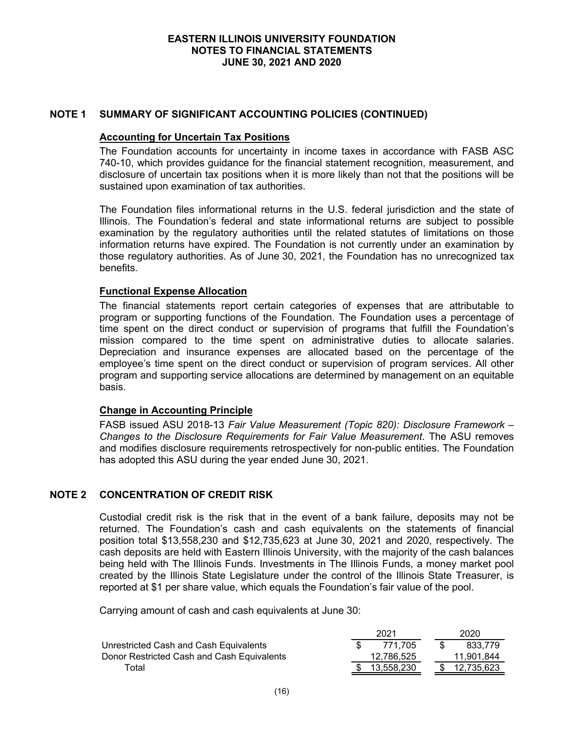## **NOTE 1 SUMMARY OF SIGNIFICANT ACCOUNTING POLICIES (CONTINUED)**

#### **Accounting for Uncertain Tax Positions**

The Foundation accounts for uncertainty in income taxes in accordance with FASB ASC 740-10, which provides guidance for the financial statement recognition, measurement, and disclosure of uncertain tax positions when it is more likely than not that the positions will be sustained upon examination of tax authorities.

The Foundation files informational returns in the U.S. federal jurisdiction and the state of Illinois. The Foundation's federal and state informational returns are subject to possible examination by the regulatory authorities until the related statutes of limitations on those information returns have expired. The Foundation is not currently under an examination by those regulatory authorities. As of June 30, 2021, the Foundation has no unrecognized tax benefits.

## **Functional Expense Allocation**

The financial statements report certain categories of expenses that are attributable to program or supporting functions of the Foundation. The Foundation uses a percentage of time spent on the direct conduct or supervision of programs that fulfill the Foundation's mission compared to the time spent on administrative duties to allocate salaries. Depreciation and insurance expenses are allocated based on the percentage of the employee's time spent on the direct conduct or supervision of program services. All other program and supporting service allocations are determined by management on an equitable basis.

#### **Change in Accounting Principle**

FASB issued ASU 2018-13 *Fair Value Measurement (Topic 820): Disclosure Framework – Changes to the Disclosure Requirements for Fair Value Measurement*. The ASU removes and modifies disclosure requirements retrospectively for non-public entities. The Foundation has adopted this ASU during the year ended June 30, 2021.

#### **NOTE 2 CONCENTRATION OF CREDIT RISK**

Custodial credit risk is the risk that in the event of a bank failure, deposits may not be returned. The Foundation's cash and cash equivalents on the statements of financial position total \$13,558,230 and \$12,735,623 at June 30, 2021 and 2020, respectively. The cash deposits are held with Eastern Illinois University, with the majority of the cash balances being held with The Illinois Funds. Investments in The Illinois Funds, a money market pool created by the Illinois State Legislature under the control of the Illinois State Treasurer, is reported at \$1 per share value, which equals the Foundation's fair value of the pool.

Carrying amount of cash and cash equivalents at June 30:

|                                            | 2021       | 2020       |
|--------------------------------------------|------------|------------|
| Unrestricted Cash and Cash Equivalents     | 771.705    | 833.779    |
| Donor Restricted Cash and Cash Equivalents | 12,786,525 | 11.901.844 |
| Total                                      | 13.558.230 | 12.735.623 |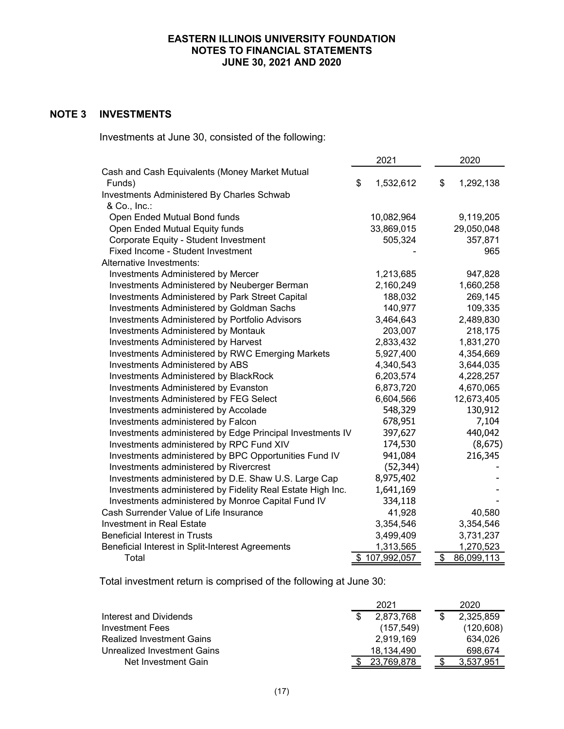# **NOTE 3 INVESTMENTS**

Investments at June 30, consisted of the following:

|                                                            | 2021 |               | 2020             |
|------------------------------------------------------------|------|---------------|------------------|
| Cash and Cash Equivalents (Money Market Mutual             |      |               |                  |
| Funds)                                                     | \$   | 1,532,612     | \$<br>1,292,138  |
| Investments Administered By Charles Schwab                 |      |               |                  |
| & Co., Inc.:                                               |      |               |                  |
| Open Ended Mutual Bond funds                               |      | 10,082,964    | 9,119,205        |
| Open Ended Mutual Equity funds                             |      | 33,869,015    | 29,050,048       |
| Corporate Equity - Student Investment                      |      | 505,324       | 357,871          |
| Fixed Income - Student Investment                          |      |               | 965              |
| Alternative Investments:                                   |      |               |                  |
| <b>Investments Administered by Mercer</b>                  |      | 1,213,685     | 947,828          |
| Investments Administered by Neuberger Berman               |      | 2,160,249     | 1,660,258        |
| Investments Administered by Park Street Capital            |      | 188,032       | 269,145          |
| Investments Administered by Goldman Sachs                  |      | 140,977       | 109,335          |
| Investments Administered by Portfolio Advisors             |      | 3,464,643     | 2,489,830        |
| <b>Investments Administered by Montauk</b>                 |      | 203,007       | 218,175          |
| Investments Administered by Harvest                        |      | 2,833,432     | 1,831,270        |
| Investments Administered by RWC Emerging Markets           |      | 5,927,400     | 4,354,669        |
| Investments Administered by ABS                            |      | 4,340,543     | 3,644,035        |
| Investments Administered by BlackRock                      |      | 6,203,574     | 4,228,257        |
| Investments Administered by Evanston                       |      | 6,873,720     | 4,670,065        |
| Investments Administered by FEG Select                     |      | 6,604,566     | 12,673,405       |
| Investments administered by Accolade                       |      | 548,329       | 130,912          |
| Investments administered by Falcon                         |      | 678,951       | 7,104            |
| Investments administered by Edge Principal Investments IV  |      | 397,627       | 440,042          |
| Investments administered by RPC Fund XIV                   |      | 174,530       | (8,675)          |
| Investments administered by BPC Opportunities Fund IV      |      | 941,084       | 216,345          |
| Investments administered by Rivercrest                     |      | (52, 344)     |                  |
| Investments administered by D.E. Shaw U.S. Large Cap       |      | 8,975,402     |                  |
| Investments administered by Fidelity Real Estate High Inc. |      | 1,641,169     |                  |
| Investments administered by Monroe Capital Fund IV         |      | 334,118       |                  |
| Cash Surrender Value of Life Insurance                     |      | 41,928        | 40,580           |
| <b>Investment in Real Estate</b>                           |      | 3,354,546     | 3,354,546        |
| <b>Beneficial Interest in Trusts</b>                       |      | 3,499,409     | 3,731,237        |
| Beneficial Interest in Split-Interest Agreements           |      | 1,313,565     | 1,270,523        |
| Total                                                      |      | \$107,992,057 | \$<br>86,099,113 |

Total investment return is comprised of the following at June 30:

|                                  | 2021 |            |  | 2020       |
|----------------------------------|------|------------|--|------------|
| Interest and Dividends           |      | 2,873,768  |  | 2,325,859  |
| Investment Fees                  |      | (157.549)  |  | (120, 608) |
| <b>Realized Investment Gains</b> |      | 2.919.169  |  | 634,026    |
| Unrealized Investment Gains      |      | 18.134.490 |  | 698.674    |
| Net Investment Gain              |      | 23.769.878 |  | 3,537,951  |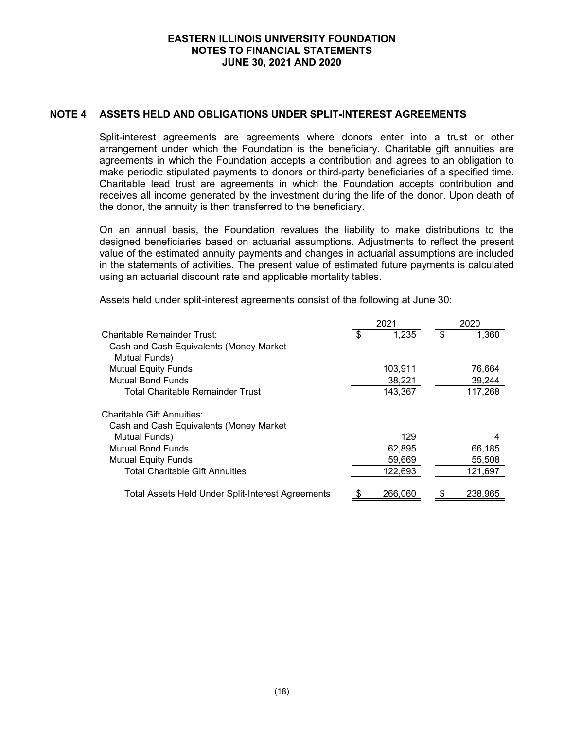## **NOTE 4 ASSETS HELD AND OBLIGATIONS UNDER SPLIT-INTEREST AGREEMENTS**

Split-interest agreements are agreements where donors enter into a trust or other arrangement under which the Foundation is the beneficiary. Charitable gift annuities are agreements in which the Foundation accepts a contribution and agrees to an obligation to make periodic stipulated payments to donors or third-party beneficiaries of a specified time. Charitable lead trust are agreements in which the Foundation accepts contribution and receives all income generated by the investment during the life of the donor. Upon death of the donor, the annuity is then transferred to the beneficiary.

On an annual basis, the Foundation revalues the liability to make distributions to the designed beneficiaries based on actuarial assumptions. Adjustments to reflect the present value of the estimated annuity payments and changes in actuarial assumptions are included in the statements of activities. The present value of estimated future payments is calculated using an actuarial discount rate and applicable mortality tables.

Assets held under split-interest agreements consist of the following at June 30:

|                                                   | 2021 |         | 2020 |         |  |
|---------------------------------------------------|------|---------|------|---------|--|
| Charitable Remainder Trust:                       | \$   | 1,235   | \$   | 1,360   |  |
| Cash and Cash Equivalents (Money Market           |      |         |      |         |  |
| Mutual Funds)                                     |      |         |      |         |  |
| <b>Mutual Equity Funds</b>                        |      | 103,911 |      | 76,664  |  |
| Mutual Bond Funds                                 |      | 38,221  |      | 39,244  |  |
| <b>Total Charitable Remainder Trust</b>           |      | 143,367 |      | 117,268 |  |
| <b>Charitable Gift Annuities:</b>                 |      |         |      |         |  |
| Cash and Cash Equivalents (Money Market           |      |         |      |         |  |
| Mutual Funds)                                     |      | 129     |      | 4       |  |
| <b>Mutual Bond Funds</b>                          |      | 62,895  |      | 66,185  |  |
| <b>Mutual Equity Funds</b>                        |      | 59,669  |      | 55,508  |  |
| <b>Total Charitable Gift Annuities</b>            |      | 122,693 |      | 121,697 |  |
| Total Assets Held Under Split-Interest Agreements |      | 266,060 |      | 238,965 |  |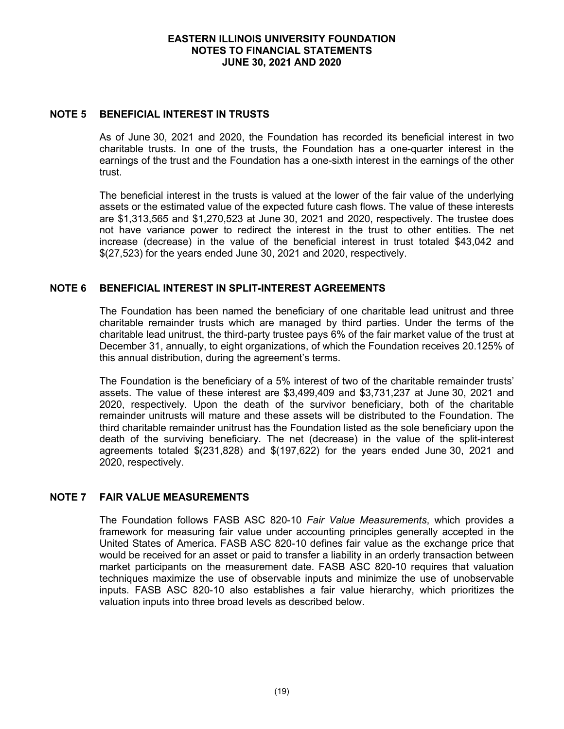#### **NOTE 5 BENEFICIAL INTEREST IN TRUSTS**

As of June 30, 2021 and 2020, the Foundation has recorded its beneficial interest in two charitable trusts. In one of the trusts, the Foundation has a one-quarter interest in the earnings of the trust and the Foundation has a one-sixth interest in the earnings of the other trust.

The beneficial interest in the trusts is valued at the lower of the fair value of the underlying assets or the estimated value of the expected future cash flows. The value of these interests are \$1,313,565 and \$1,270,523 at June 30, 2021 and 2020, respectively. The trustee does not have variance power to redirect the interest in the trust to other entities. The net increase (decrease) in the value of the beneficial interest in trust totaled \$43,042 and \$(27,523) for the years ended June 30, 2021 and 2020, respectively.

# **NOTE 6 BENEFICIAL INTEREST IN SPLIT-INTEREST AGREEMENTS**

The Foundation has been named the beneficiary of one charitable lead unitrust and three charitable remainder trusts which are managed by third parties. Under the terms of the charitable lead unitrust, the third-party trustee pays 6% of the fair market value of the trust at December 31, annually, to eight organizations, of which the Foundation receives 20.125% of this annual distribution, during the agreement's terms.

The Foundation is the beneficiary of a 5% interest of two of the charitable remainder trusts' assets. The value of these interest are \$3,499,409 and \$3,731,237 at June 30, 2021 and 2020, respectively. Upon the death of the survivor beneficiary, both of the charitable remainder unitrusts will mature and these assets will be distributed to the Foundation. The third charitable remainder unitrust has the Foundation listed as the sole beneficiary upon the death of the surviving beneficiary. The net (decrease) in the value of the split-interest agreements totaled \$(231,828) and \$(197,622) for the years ended June 30, 2021 and 2020, respectively.

# **NOTE 7 FAIR VALUE MEASUREMENTS**

The Foundation follows FASB ASC 820-10 *Fair Value Measurements*, which provides a framework for measuring fair value under accounting principles generally accepted in the United States of America. FASB ASC 820-10 defines fair value as the exchange price that would be received for an asset or paid to transfer a liability in an orderly transaction between market participants on the measurement date. FASB ASC 820-10 requires that valuation techniques maximize the use of observable inputs and minimize the use of unobservable inputs. FASB ASC 820-10 also establishes a fair value hierarchy, which prioritizes the valuation inputs into three broad levels as described below.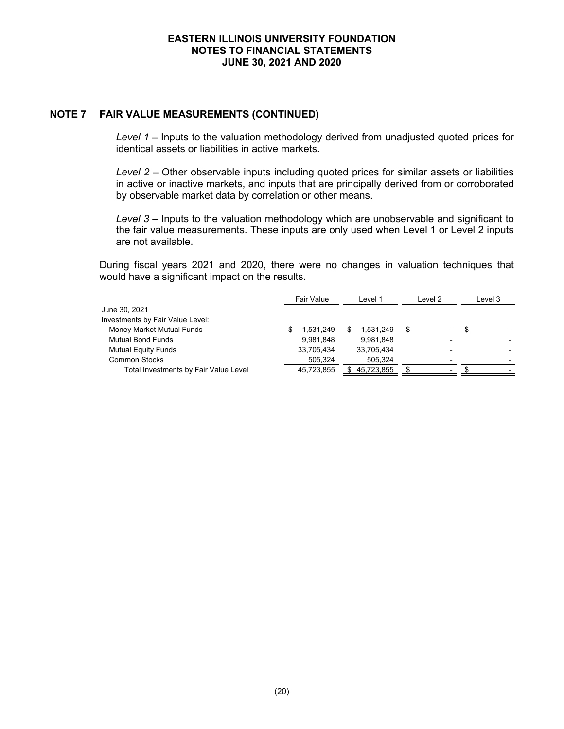#### **NOTE 7 FAIR VALUE MEASUREMENTS (CONTINUED)**

*Level 1* – Inputs to the valuation methodology derived from unadjusted quoted prices for identical assets or liabilities in active markets.

*Level 2* – Other observable inputs including quoted prices for similar assets or liabilities in active or inactive markets, and inputs that are principally derived from or corroborated by observable market data by correlation or other means.

*Level 3* – Inputs to the valuation methodology which are unobservable and significant to the fair value measurements. These inputs are only used when Level 1 or Level 2 inputs are not available.

During fiscal years 2021 and 2020, there were no changes in valuation techniques that would have a significant impact on the results.

|                                       | Fair Value | Level 1    | Level 2                  | Level 3 |  |
|---------------------------------------|------------|------------|--------------------------|---------|--|
| June 30, 2021                         |            |            |                          |         |  |
| Investments by Fair Value Level:      |            |            |                          |         |  |
| Money Market Mutual Funds             | 1.531.249  | 1.531.249  | \$.<br>-                 | \$      |  |
| <b>Mutual Bond Funds</b>              | 9.981.848  | 9.981.848  | $\overline{\phantom{0}}$ |         |  |
| <b>Mutual Equity Funds</b>            | 33,705,434 | 33,705,434 |                          |         |  |
| <b>Common Stocks</b>                  | 505.324    | 505.324    |                          |         |  |
| Total Investments by Fair Value Level | 45.723.855 | 45.723.855 |                          |         |  |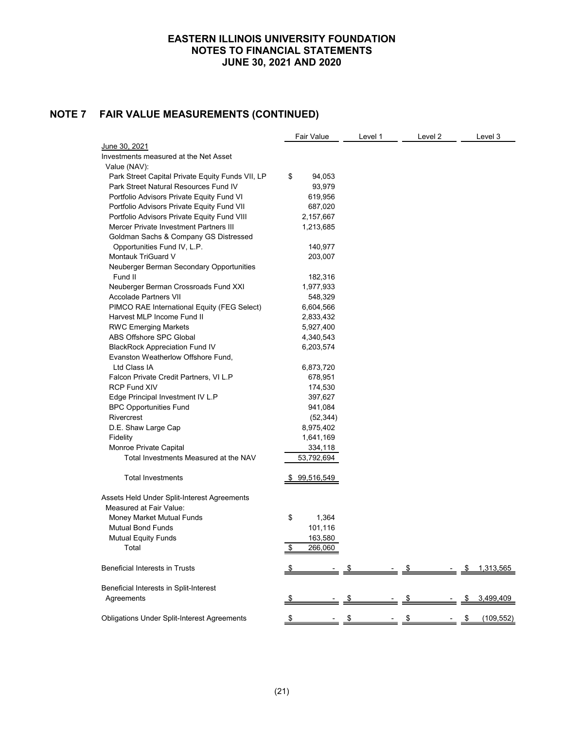# **NOTE 7 FAIR VALUE MEASUREMENTS (CONTINUED)**

| June 30, 2021<br>Investments measured at the Net Asset<br>Value (NAV):<br>Park Street Capital Private Equity Funds VII, LP<br>\$<br>94,053<br>Park Street Natural Resources Fund IV<br>93,979<br>Portfolio Advisors Private Equity Fund VI<br>619,956<br>Portfolio Advisors Private Equity Fund VII<br>687,020<br>Portfolio Advisors Private Equity Fund VIII<br>2,157,667<br>Mercer Private Investment Partners III<br>1,213,685<br>Goldman Sachs & Company GS Distressed<br>Opportunities Fund IV, L.P.<br>140,977<br>Montauk TriGuard V<br>203,007<br>Neuberger Berman Secondary Opportunities<br>Fund II<br>182,316<br>1,977,933<br>Neuberger Berman Crossroads Fund XXI<br><b>Accolade Partners VII</b><br>548,329<br>PIMCO RAE International Equity (FEG Select)<br>6,604,566<br>Harvest MLP Income Fund II<br>2,833,432<br><b>RWC Emerging Markets</b><br>5,927,400<br>ABS Offshore SPC Global<br>4,340,543<br><b>BlackRock Appreciation Fund IV</b><br>6,203,574<br>Evanston Weatherlow Offshore Fund,<br>Ltd Class IA<br>6,873,720<br>Falcon Private Credit Partners, VI L.P<br>678,951<br><b>RCP Fund XIV</b><br>174,530<br>Edge Principal Investment IV L.P<br>397,627<br><b>BPC Opportunities Fund</b><br>941,084<br>Rivercrest<br>(52, 344)<br>D.E. Shaw Large Cap<br>8,975,402<br>Fidelity<br>1,641,169<br>Monroe Private Capital<br>334,118 |
|------------------------------------------------------------------------------------------------------------------------------------------------------------------------------------------------------------------------------------------------------------------------------------------------------------------------------------------------------------------------------------------------------------------------------------------------------------------------------------------------------------------------------------------------------------------------------------------------------------------------------------------------------------------------------------------------------------------------------------------------------------------------------------------------------------------------------------------------------------------------------------------------------------------------------------------------------------------------------------------------------------------------------------------------------------------------------------------------------------------------------------------------------------------------------------------------------------------------------------------------------------------------------------------------------------------------------------------------------------|
|                                                                                                                                                                                                                                                                                                                                                                                                                                                                                                                                                                                                                                                                                                                                                                                                                                                                                                                                                                                                                                                                                                                                                                                                                                                                                                                                                            |
|                                                                                                                                                                                                                                                                                                                                                                                                                                                                                                                                                                                                                                                                                                                                                                                                                                                                                                                                                                                                                                                                                                                                                                                                                                                                                                                                                            |
|                                                                                                                                                                                                                                                                                                                                                                                                                                                                                                                                                                                                                                                                                                                                                                                                                                                                                                                                                                                                                                                                                                                                                                                                                                                                                                                                                            |
|                                                                                                                                                                                                                                                                                                                                                                                                                                                                                                                                                                                                                                                                                                                                                                                                                                                                                                                                                                                                                                                                                                                                                                                                                                                                                                                                                            |
|                                                                                                                                                                                                                                                                                                                                                                                                                                                                                                                                                                                                                                                                                                                                                                                                                                                                                                                                                                                                                                                                                                                                                                                                                                                                                                                                                            |
|                                                                                                                                                                                                                                                                                                                                                                                                                                                                                                                                                                                                                                                                                                                                                                                                                                                                                                                                                                                                                                                                                                                                                                                                                                                                                                                                                            |
|                                                                                                                                                                                                                                                                                                                                                                                                                                                                                                                                                                                                                                                                                                                                                                                                                                                                                                                                                                                                                                                                                                                                                                                                                                                                                                                                                            |
|                                                                                                                                                                                                                                                                                                                                                                                                                                                                                                                                                                                                                                                                                                                                                                                                                                                                                                                                                                                                                                                                                                                                                                                                                                                                                                                                                            |
|                                                                                                                                                                                                                                                                                                                                                                                                                                                                                                                                                                                                                                                                                                                                                                                                                                                                                                                                                                                                                                                                                                                                                                                                                                                                                                                                                            |
|                                                                                                                                                                                                                                                                                                                                                                                                                                                                                                                                                                                                                                                                                                                                                                                                                                                                                                                                                                                                                                                                                                                                                                                                                                                                                                                                                            |
|                                                                                                                                                                                                                                                                                                                                                                                                                                                                                                                                                                                                                                                                                                                                                                                                                                                                                                                                                                                                                                                                                                                                                                                                                                                                                                                                                            |
|                                                                                                                                                                                                                                                                                                                                                                                                                                                                                                                                                                                                                                                                                                                                                                                                                                                                                                                                                                                                                                                                                                                                                                                                                                                                                                                                                            |
|                                                                                                                                                                                                                                                                                                                                                                                                                                                                                                                                                                                                                                                                                                                                                                                                                                                                                                                                                                                                                                                                                                                                                                                                                                                                                                                                                            |
|                                                                                                                                                                                                                                                                                                                                                                                                                                                                                                                                                                                                                                                                                                                                                                                                                                                                                                                                                                                                                                                                                                                                                                                                                                                                                                                                                            |
|                                                                                                                                                                                                                                                                                                                                                                                                                                                                                                                                                                                                                                                                                                                                                                                                                                                                                                                                                                                                                                                                                                                                                                                                                                                                                                                                                            |
|                                                                                                                                                                                                                                                                                                                                                                                                                                                                                                                                                                                                                                                                                                                                                                                                                                                                                                                                                                                                                                                                                                                                                                                                                                                                                                                                                            |
|                                                                                                                                                                                                                                                                                                                                                                                                                                                                                                                                                                                                                                                                                                                                                                                                                                                                                                                                                                                                                                                                                                                                                                                                                                                                                                                                                            |
|                                                                                                                                                                                                                                                                                                                                                                                                                                                                                                                                                                                                                                                                                                                                                                                                                                                                                                                                                                                                                                                                                                                                                                                                                                                                                                                                                            |
|                                                                                                                                                                                                                                                                                                                                                                                                                                                                                                                                                                                                                                                                                                                                                                                                                                                                                                                                                                                                                                                                                                                                                                                                                                                                                                                                                            |
|                                                                                                                                                                                                                                                                                                                                                                                                                                                                                                                                                                                                                                                                                                                                                                                                                                                                                                                                                                                                                                                                                                                                                                                                                                                                                                                                                            |
|                                                                                                                                                                                                                                                                                                                                                                                                                                                                                                                                                                                                                                                                                                                                                                                                                                                                                                                                                                                                                                                                                                                                                                                                                                                                                                                                                            |
|                                                                                                                                                                                                                                                                                                                                                                                                                                                                                                                                                                                                                                                                                                                                                                                                                                                                                                                                                                                                                                                                                                                                                                                                                                                                                                                                                            |
|                                                                                                                                                                                                                                                                                                                                                                                                                                                                                                                                                                                                                                                                                                                                                                                                                                                                                                                                                                                                                                                                                                                                                                                                                                                                                                                                                            |
|                                                                                                                                                                                                                                                                                                                                                                                                                                                                                                                                                                                                                                                                                                                                                                                                                                                                                                                                                                                                                                                                                                                                                                                                                                                                                                                                                            |
|                                                                                                                                                                                                                                                                                                                                                                                                                                                                                                                                                                                                                                                                                                                                                                                                                                                                                                                                                                                                                                                                                                                                                                                                                                                                                                                                                            |
|                                                                                                                                                                                                                                                                                                                                                                                                                                                                                                                                                                                                                                                                                                                                                                                                                                                                                                                                                                                                                                                                                                                                                                                                                                                                                                                                                            |
|                                                                                                                                                                                                                                                                                                                                                                                                                                                                                                                                                                                                                                                                                                                                                                                                                                                                                                                                                                                                                                                                                                                                                                                                                                                                                                                                                            |
|                                                                                                                                                                                                                                                                                                                                                                                                                                                                                                                                                                                                                                                                                                                                                                                                                                                                                                                                                                                                                                                                                                                                                                                                                                                                                                                                                            |
|                                                                                                                                                                                                                                                                                                                                                                                                                                                                                                                                                                                                                                                                                                                                                                                                                                                                                                                                                                                                                                                                                                                                                                                                                                                                                                                                                            |
|                                                                                                                                                                                                                                                                                                                                                                                                                                                                                                                                                                                                                                                                                                                                                                                                                                                                                                                                                                                                                                                                                                                                                                                                                                                                                                                                                            |
|                                                                                                                                                                                                                                                                                                                                                                                                                                                                                                                                                                                                                                                                                                                                                                                                                                                                                                                                                                                                                                                                                                                                                                                                                                                                                                                                                            |
| Total Investments Measured at the NAV<br>53,792,694                                                                                                                                                                                                                                                                                                                                                                                                                                                                                                                                                                                                                                                                                                                                                                                                                                                                                                                                                                                                                                                                                                                                                                                                                                                                                                        |
|                                                                                                                                                                                                                                                                                                                                                                                                                                                                                                                                                                                                                                                                                                                                                                                                                                                                                                                                                                                                                                                                                                                                                                                                                                                                                                                                                            |
| <b>Total Investments</b><br>99,516,549                                                                                                                                                                                                                                                                                                                                                                                                                                                                                                                                                                                                                                                                                                                                                                                                                                                                                                                                                                                                                                                                                                                                                                                                                                                                                                                     |
|                                                                                                                                                                                                                                                                                                                                                                                                                                                                                                                                                                                                                                                                                                                                                                                                                                                                                                                                                                                                                                                                                                                                                                                                                                                                                                                                                            |
| Assets Held Under Split-Interest Agreements                                                                                                                                                                                                                                                                                                                                                                                                                                                                                                                                                                                                                                                                                                                                                                                                                                                                                                                                                                                                                                                                                                                                                                                                                                                                                                                |
| Measured at Fair Value:                                                                                                                                                                                                                                                                                                                                                                                                                                                                                                                                                                                                                                                                                                                                                                                                                                                                                                                                                                                                                                                                                                                                                                                                                                                                                                                                    |
| \$<br>1,364<br>Money Market Mutual Funds                                                                                                                                                                                                                                                                                                                                                                                                                                                                                                                                                                                                                                                                                                                                                                                                                                                                                                                                                                                                                                                                                                                                                                                                                                                                                                                   |
| <b>Mutual Bond Funds</b><br>101,116                                                                                                                                                                                                                                                                                                                                                                                                                                                                                                                                                                                                                                                                                                                                                                                                                                                                                                                                                                                                                                                                                                                                                                                                                                                                                                                        |
| 163,580<br><b>Mutual Equity Funds</b>                                                                                                                                                                                                                                                                                                                                                                                                                                                                                                                                                                                                                                                                                                                                                                                                                                                                                                                                                                                                                                                                                                                                                                                                                                                                                                                      |
| Total<br>266,060<br>\$                                                                                                                                                                                                                                                                                                                                                                                                                                                                                                                                                                                                                                                                                                                                                                                                                                                                                                                                                                                                                                                                                                                                                                                                                                                                                                                                     |
| <b>Beneficial Interests in Trusts</b><br>1,313,565                                                                                                                                                                                                                                                                                                                                                                                                                                                                                                                                                                                                                                                                                                                                                                                                                                                                                                                                                                                                                                                                                                                                                                                                                                                                                                         |
|                                                                                                                                                                                                                                                                                                                                                                                                                                                                                                                                                                                                                                                                                                                                                                                                                                                                                                                                                                                                                                                                                                                                                                                                                                                                                                                                                            |
| Beneficial Interests in Split-Interest                                                                                                                                                                                                                                                                                                                                                                                                                                                                                                                                                                                                                                                                                                                                                                                                                                                                                                                                                                                                                                                                                                                                                                                                                                                                                                                     |
| Agreements<br>3,499,409<br>\$<br>\$                                                                                                                                                                                                                                                                                                                                                                                                                                                                                                                                                                                                                                                                                                                                                                                                                                                                                                                                                                                                                                                                                                                                                                                                                                                                                                                        |
| <b>Obligations Under Split-Interest Agreements</b><br>$\frac{1}{2}$<br>\$<br>\$<br>(109, 552)<br>\$                                                                                                                                                                                                                                                                                                                                                                                                                                                                                                                                                                                                                                                                                                                                                                                                                                                                                                                                                                                                                                                                                                                                                                                                                                                        |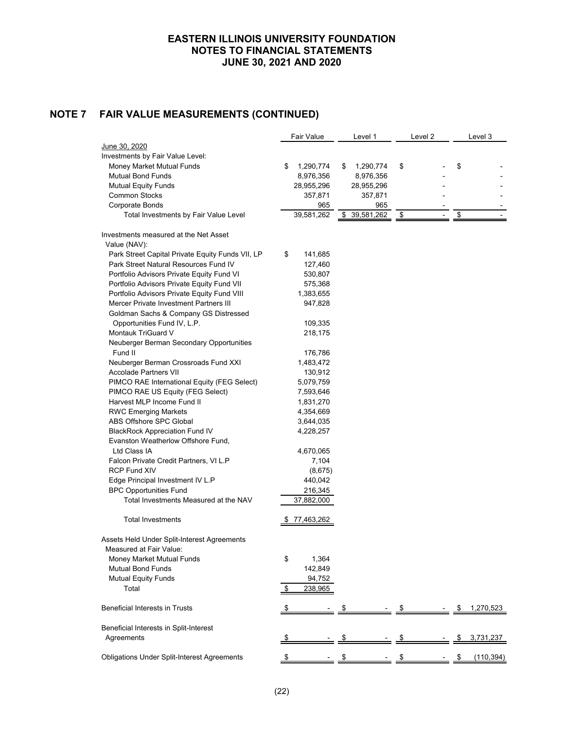# **NOTE 7 FAIR VALUE MEASUREMENTS (CONTINUED)**

|                                                    | Fair Value      | Level 1         |            | Level <sub>2</sub> |             | Level 3    |
|----------------------------------------------------|-----------------|-----------------|------------|--------------------|-------------|------------|
| <u>June 30, 2020</u>                               |                 |                 |            |                    |             |            |
| Investments by Fair Value Level:                   |                 |                 |            |                    |             |            |
| Money Market Mutual Funds                          | \$<br>1,290,774 | \$<br>1,290,774 | \$         |                    | \$          |            |
| <b>Mutual Bond Funds</b>                           | 8,976,356       | 8,976,356       |            |                    |             |            |
| <b>Mutual Equity Funds</b>                         | 28,955,296      | 28,955,296      |            |                    |             |            |
| <b>Common Stocks</b>                               | 357,871         | 357,871         |            |                    |             |            |
| Corporate Bonds                                    | 965             | 965             |            |                    |             |            |
| Total Investments by Fair Value Level              | 39,581,262      | \$ 39,581,262   | <u>_\$</u> |                    | $\sqrt{2}$  |            |
| Investments measured at the Net Asset              |                 |                 |            |                    |             |            |
| Value (NAV):                                       |                 |                 |            |                    |             |            |
| Park Street Capital Private Equity Funds VII, LP   | \$<br>141,685   |                 |            |                    |             |            |
| Park Street Natural Resources Fund IV              | 127,460         |                 |            |                    |             |            |
| Portfolio Advisors Private Equity Fund VI          | 530,807         |                 |            |                    |             |            |
| Portfolio Advisors Private Equity Fund VII         | 575,368         |                 |            |                    |             |            |
| Portfolio Advisors Private Equity Fund VIII        | 1,383,655       |                 |            |                    |             |            |
| Mercer Private Investment Partners III             | 947,828         |                 |            |                    |             |            |
| Goldman Sachs & Company GS Distressed              |                 |                 |            |                    |             |            |
| Opportunities Fund IV, L.P.                        | 109,335         |                 |            |                    |             |            |
| Montauk TriGuard V                                 | 218,175         |                 |            |                    |             |            |
| Neuberger Berman Secondary Opportunities           |                 |                 |            |                    |             |            |
| Fund II                                            | 176,786         |                 |            |                    |             |            |
| Neuberger Berman Crossroads Fund XXI               | 1,483,472       |                 |            |                    |             |            |
| <b>Accolade Partners VII</b>                       | 130,912         |                 |            |                    |             |            |
| PIMCO RAE International Equity (FEG Select)        | 5,079,759       |                 |            |                    |             |            |
| PIMCO RAE US Equity (FEG Select)                   | 7,593,646       |                 |            |                    |             |            |
| Harvest MLP Income Fund II                         | 1,831,270       |                 |            |                    |             |            |
| <b>RWC Emerging Markets</b>                        | 4,354,669       |                 |            |                    |             |            |
| ABS Offshore SPC Global                            | 3,644,035       |                 |            |                    |             |            |
| <b>BlackRock Appreciation Fund IV</b>              | 4,228,257       |                 |            |                    |             |            |
| Evanston Weatherlow Offshore Fund,                 |                 |                 |            |                    |             |            |
| Ltd Class IA                                       | 4,670,065       |                 |            |                    |             |            |
| Falcon Private Credit Partners, VI L.P             | 7,104           |                 |            |                    |             |            |
| <b>RCP Fund XIV</b>                                | (8,675)         |                 |            |                    |             |            |
| Edge Principal Investment IV L.P                   | 440,042         |                 |            |                    |             |            |
| <b>BPC Opportunities Fund</b>                      | 216,345         |                 |            |                    |             |            |
| Total Investments Measured at the NAV              | 37,882,000      |                 |            |                    |             |            |
| <b>Total Investments</b>                           | 77,463,262      |                 |            |                    |             |            |
| Assets Held Under Split-Interest Agreements        |                 |                 |            |                    |             |            |
| Measured at Fair Value:                            |                 |                 |            |                    |             |            |
| Money Market Mutual Funds                          | \$<br>1,364     |                 |            |                    |             |            |
| <b>Mutual Bond Funds</b>                           | 142,849         |                 |            |                    |             |            |
| <b>Mutual Equity Funds</b>                         | 94,752          |                 |            |                    |             |            |
| Total                                              | \$<br>238,965   |                 |            |                    |             |            |
| <b>Beneficial Interests in Trusts</b>              |                 |                 |            | $\frac{1}{2}$      | <u>- \$</u> | 1,270,523  |
| Beneficial Interests in Split-Interest             |                 |                 |            |                    |             |            |
| Agreements                                         |                 |                 |            |                    |             | 3,731,237  |
| <b>Obligations Under Split-Interest Agreements</b> |                 |                 |            |                    |             | (110, 394) |
|                                                    |                 |                 |            |                    |             |            |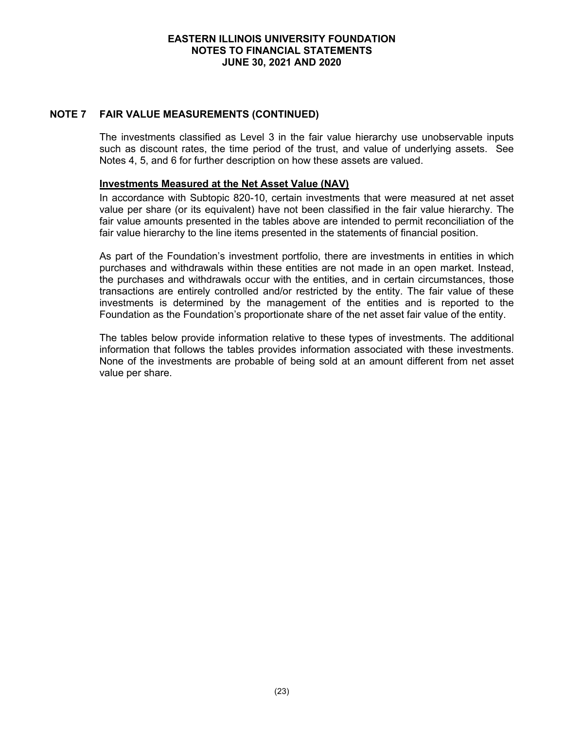## **NOTE 7 FAIR VALUE MEASUREMENTS (CONTINUED)**

The investments classified as Level 3 in the fair value hierarchy use unobservable inputs such as discount rates, the time period of the trust, and value of underlying assets. See Notes 4, 5, and 6 for further description on how these assets are valued.

#### **Investments Measured at the Net Asset Value (NAV)**

In accordance with Subtopic 820-10, certain investments that were measured at net asset value per share (or its equivalent) have not been classified in the fair value hierarchy. The fair value amounts presented in the tables above are intended to permit reconciliation of the fair value hierarchy to the line items presented in the statements of financial position.

As part of the Foundation's investment portfolio, there are investments in entities in which purchases and withdrawals within these entities are not made in an open market. Instead, the purchases and withdrawals occur with the entities, and in certain circumstances, those transactions are entirely controlled and/or restricted by the entity. The fair value of these investments is determined by the management of the entities and is reported to the Foundation as the Foundation's proportionate share of the net asset fair value of the entity.

The tables below provide information relative to these types of investments. The additional information that follows the tables provides information associated with these investments. None of the investments are probable of being sold at an amount different from net asset value per share.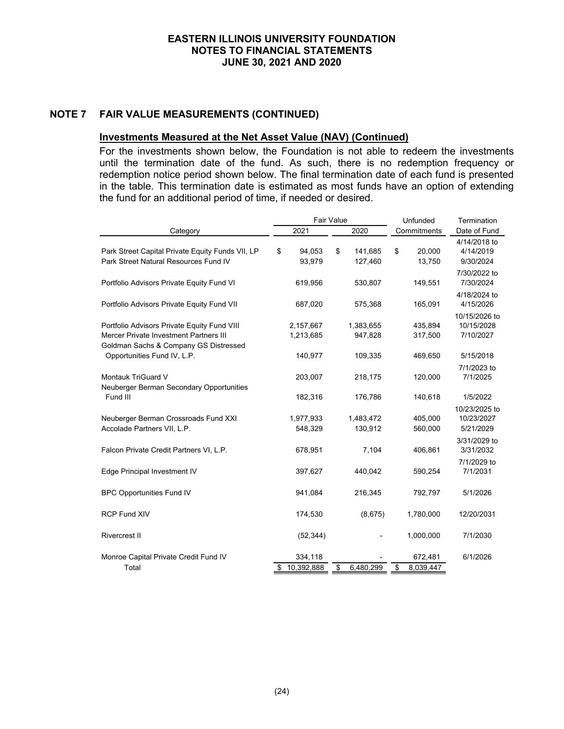## **NOTE 7 FAIR VALUE MEASUREMENTS (CONTINUED)**

## **Investments Measured at the Net Asset Value (NAV) (Continued)**

For the investments shown below, the Foundation is not able to redeem the investments until the termination date of the fund. As such, there is no redemption frequency or redemption notice period shown below. The final termination date of each fund is presented in the table. This termination date is estimated as most funds have an option of extending the fund for an additional period of time, if needed or desired.

|                                                                                                                                |                             | <b>Fair Value</b> |                      | Unfunded                   | Termination                              |
|--------------------------------------------------------------------------------------------------------------------------------|-----------------------------|-------------------|----------------------|----------------------------|------------------------------------------|
| Category                                                                                                                       | 2021                        |                   | 2020                 | Commitments                | Date of Fund                             |
| Park Street Capital Private Equity Funds VII, LP<br>Park Street Natural Resources Fund IV                                      | \$<br>94,053<br>93,979      | \$                | 141,685<br>127,460   | \$<br>20,000<br>13,750     | 4/14/2018 to<br>4/14/2019<br>9/30/2024   |
| Portfolio Advisors Private Equity Fund VI                                                                                      | 619,956                     |                   | 530,807              | 149,551                    | 7/30/2022 to<br>7/30/2024                |
| Portfolio Advisors Private Equity Fund VII                                                                                     | 687,020                     |                   | 575,368              | 165,091                    | 4/18/2024 to<br>4/15/2026                |
| Portfolio Advisors Private Equity Fund VIII<br>Mercer Private Investment Partners III<br>Goldman Sachs & Company GS Distressed | 2,157,667<br>1,213,685      |                   | 1,383,655<br>947,828 | 435,894<br>317,500         | 10/15/2026 to<br>10/15/2028<br>7/10/2027 |
| Opportunities Fund IV, L.P.                                                                                                    | 140,977                     |                   | 109,335              | 469,650                    | 5/15/2018                                |
| <b>Montauk TriGuard V</b><br>Neuberger Berman Secondary Opportunities                                                          | 203,007                     |                   | 218,175              | 120,000                    | 7/1/2023 to<br>7/1/2025                  |
| Fund III                                                                                                                       | 182,316                     |                   | 176,786              | 140,618                    | 1/5/2022                                 |
| Neuberger Berman Crossroads Fund XXI<br>Accolade Partners VII, L.P.                                                            | 1,977,933<br>548,329        |                   | 1,483,472<br>130,912 | 405,000<br>560,000         | 10/23/2025 to<br>10/23/2027<br>5/21/2029 |
| Falcon Private Credit Partners VI, L.P.                                                                                        | 678,951                     |                   | 7,104                | 406,861                    | 3/31/2029 to<br>3/31/2032                |
| Edge Principal Investment IV                                                                                                   | 397,627                     |                   | 440,042              | 590,254                    | 7/1/2029 to<br>7/1/2031                  |
| <b>BPC Opportunities Fund IV</b>                                                                                               | 941,084                     |                   | 216,345              | 792,797                    | 5/1/2026                                 |
| <b>RCP Fund XIV</b>                                                                                                            | 174,530                     |                   | (8,675)              | 1,780,000                  | 12/20/2031                               |
| <b>Rivercrest II</b>                                                                                                           | (52, 344)                   |                   |                      | 1,000,000                  | 7/1/2030                                 |
| Monroe Capital Private Credit Fund IV<br>Total                                                                                 | \$<br>334,118<br>10,392,888 | \$                | 6,480,299            | \$<br>672,481<br>8,039,447 | 6/1/2026                                 |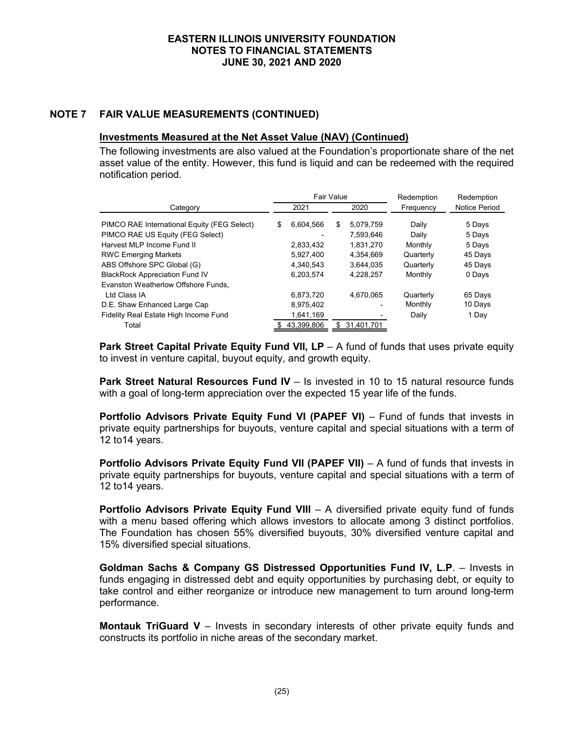# **NOTE 7 FAIR VALUE MEASUREMENTS (CONTINUED)**

#### **Investments Measured at the Net Asset Value (NAV) (Continued)**

The following investments are also valued at the Foundation's proportionate share of the net asset value of the entity. However, this fund is liquid and can be redeemed with the required notification period.

|                                             |    | Fair Value |                  | Redemption | Redemption    |
|---------------------------------------------|----|------------|------------------|------------|---------------|
| Category                                    |    | 2021       | 2020             | Frequency  | Notice Period |
| PIMCO RAE International Equity (FEG Select) | S  | 6,604,566  | \$<br>5,079,759  | Daily      | 5 Days        |
| PIMCO RAE US Equity (FEG Select)            |    |            | 7,593,646        | Daily      | 5 Days        |
| Harvest MLP Income Fund II                  |    | 2,833,432  | 1,831,270        | Monthly    | 5 Days        |
| <b>RWC Emerging Markets</b>                 |    | 5,927,400  | 4,354,669        | Quarterly  | 45 Days       |
| ABS Offshore SPC Global (G)                 |    | 4.340.543  | 3.644.035        | Quarterly  | 45 Days       |
| <b>BlackRock Appreciation Fund IV</b>       |    | 6,203,574  | 4.228.257        | Monthly    | 0 Days        |
| Evanston Weatherlow Offshore Funds,         |    |            |                  |            |               |
| Ltd Class IA                                |    | 6,873,720  | 4.670.065        | Quarterly  | 65 Days       |
| D.E. Shaw Enhanced Large Cap                |    | 8,975,402  |                  | Monthly    | 10 Days       |
| Fidelity Real Estate High Income Fund       |    | 1,641,169  |                  | Daily      | 1 Day         |
| Total                                       | S. | 43.399.806 | \$<br>31,401,701 |            |               |

**Park Street Capital Private Equity Fund VII, LP** – A fund of funds that uses private equity to invest in venture capital, buyout equity, and growth equity.

**Park Street Natural Resources Fund IV** – Is invested in 10 to 15 natural resource funds with a goal of long-term appreciation over the expected 15 year life of the funds.

**Portfolio Advisors Private Equity Fund VI (PAPEF VI)** – Fund of funds that invests in private equity partnerships for buyouts, venture capital and special situations with a term of 12 to14 years.

**Portfolio Advisors Private Equity Fund VII (PAPEF VII)** – A fund of funds that invests in private equity partnerships for buyouts, venture capital and special situations with a term of 12 to14 years.

**Portfolio Advisors Private Equity Fund VIII** – A diversified private equity fund of funds with a menu based offering which allows investors to allocate among 3 distinct portfolios. The Foundation has chosen 55% diversified buyouts, 30% diversified venture capital and 15% diversified special situations.

**Goldman Sachs & Company GS Distressed Opportunities Fund IV, L.P**. – Invests in funds engaging in distressed debt and equity opportunities by purchasing debt, or equity to take control and either reorganize or introduce new management to turn around long-term performance.

**Montauk TriGuard V** – Invests in secondary interests of other private equity funds and constructs its portfolio in niche areas of the secondary market.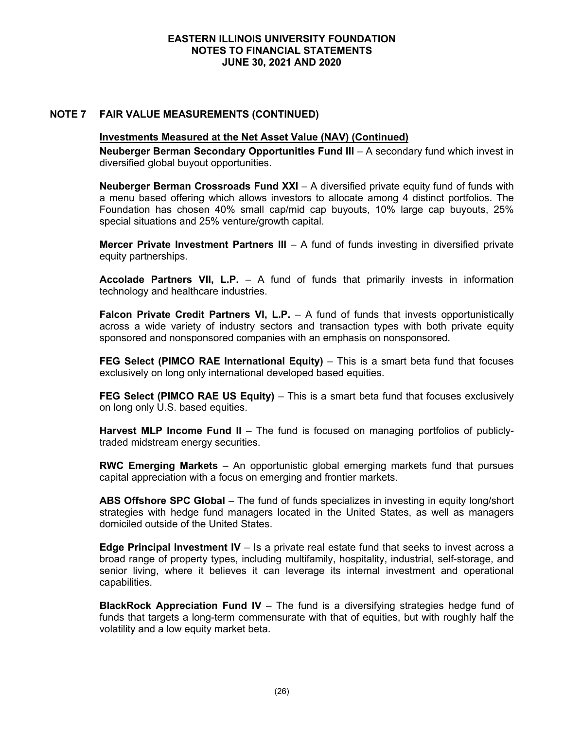## **NOTE 7 FAIR VALUE MEASUREMENTS (CONTINUED)**

## **Investments Measured at the Net Asset Value (NAV) (Continued)**

**Neuberger Berman Secondary Opportunities Fund III** – A secondary fund which invest in diversified global buyout opportunities.

**Neuberger Berman Crossroads Fund XXI** – A diversified private equity fund of funds with a menu based offering which allows investors to allocate among 4 distinct portfolios. The Foundation has chosen 40% small cap/mid cap buyouts, 10% large cap buyouts, 25% special situations and 25% venture/growth capital.

**Mercer Private Investment Partners III** – A fund of funds investing in diversified private equity partnerships.

**Accolade Partners VII, L.P.** – A fund of funds that primarily invests in information technology and healthcare industries.

**Falcon Private Credit Partners VI, L.P.** – A fund of funds that invests opportunistically across a wide variety of industry sectors and transaction types with both private equity sponsored and nonsponsored companies with an emphasis on nonsponsored.

**FEG Select (PIMCO RAE International Equity)** – This is a smart beta fund that focuses exclusively on long only international developed based equities.

**FEG Select (PIMCO RAE US Equity)** – This is a smart beta fund that focuses exclusively on long only U.S. based equities.

**Harvest MLP Income Fund II** – The fund is focused on managing portfolios of publiclytraded midstream energy securities.

**RWC Emerging Markets** – An opportunistic global emerging markets fund that pursues capital appreciation with a focus on emerging and frontier markets.

**ABS Offshore SPC Global** – The fund of funds specializes in investing in equity long/short strategies with hedge fund managers located in the United States, as well as managers domiciled outside of the United States.

**Edge Principal Investment IV** – Is a private real estate fund that seeks to invest across a broad range of property types, including multifamily, hospitality, industrial, self-storage, and senior living, where it believes it can leverage its internal investment and operational capabilities.

**BlackRock Appreciation Fund IV** – The fund is a diversifying strategies hedge fund of funds that targets a long-term commensurate with that of equities, but with roughly half the volatility and a low equity market beta.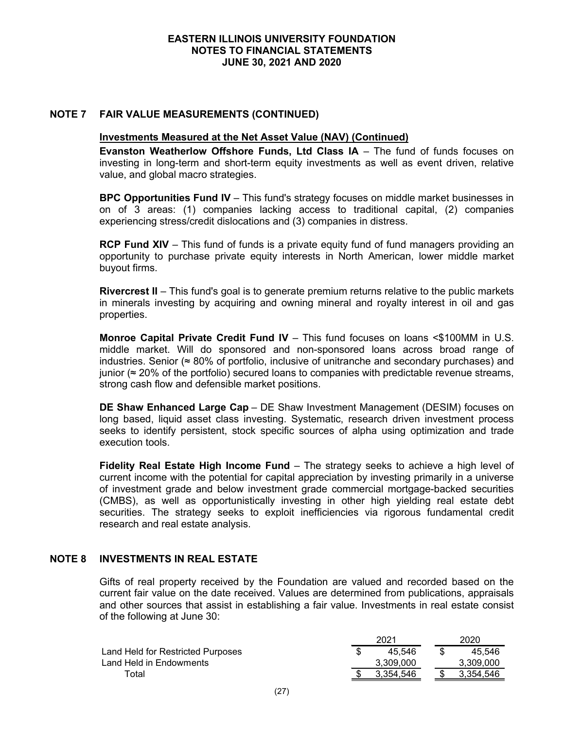## **NOTE 7 FAIR VALUE MEASUREMENTS (CONTINUED)**

#### **Investments Measured at the Net Asset Value (NAV) (Continued)**

**Evanston Weatherlow Offshore Funds, Ltd Class IA** – The fund of funds focuses on investing in long-term and short-term equity investments as well as event driven, relative value, and global macro strategies.

**BPC Opportunities Fund IV** – This fund's strategy focuses on middle market businesses in on of 3 areas: (1) companies lacking access to traditional capital, (2) companies experiencing stress/credit dislocations and (3) companies in distress.

**RCP Fund XIV** – This fund of funds is a private equity fund of fund managers providing an opportunity to purchase private equity interests in North American, lower middle market buyout firms.

**Rivercrest II** – This fund's goal is to generate premium returns relative to the public markets in minerals investing by acquiring and owning mineral and royalty interest in oil and gas properties.

**Monroe Capital Private Credit Fund IV** – This fund focuses on loans <\$100MM in U.S. middle market. Will do sponsored and non-sponsored loans across broad range of industries. Senior (≈ 80% of portfolio, inclusive of unitranche and secondary purchases) and junior ( $≈$  20% of the portfolio) secured loans to companies with predictable revenue streams, strong cash flow and defensible market positions.

**DE Shaw Enhanced Large Cap** – DE Shaw Investment Management (DESIM) focuses on long based, liquid asset class investing. Systematic, research driven investment process seeks to identify persistent, stock specific sources of alpha using optimization and trade execution tools.

**Fidelity Real Estate High Income Fund** – The strategy seeks to achieve a high level of current income with the potential for capital appreciation by investing primarily in a universe of investment grade and below investment grade commercial mortgage-backed securities (CMBS), as well as opportunistically investing in other high yielding real estate debt securities. The strategy seeks to exploit inefficiencies via rigorous fundamental credit research and real estate analysis.

#### **NOTE 8 INVESTMENTS IN REAL ESTATE**

Gifts of real property received by the Foundation are valued and recorded based on the current fair value on the date received. Values are determined from publications, appraisals and other sources that assist in establishing a fair value. Investments in real estate consist of the following at June 30:

|                                   | 2021      | 2020      |
|-----------------------------------|-----------|-----------|
| Land Held for Restricted Purposes | 45.546    | 45.546    |
| Land Held in Endowments           | 3.309.000 | 3,309,000 |
| Total                             | 3.354.546 | 3.354.546 |
|                                   |           |           |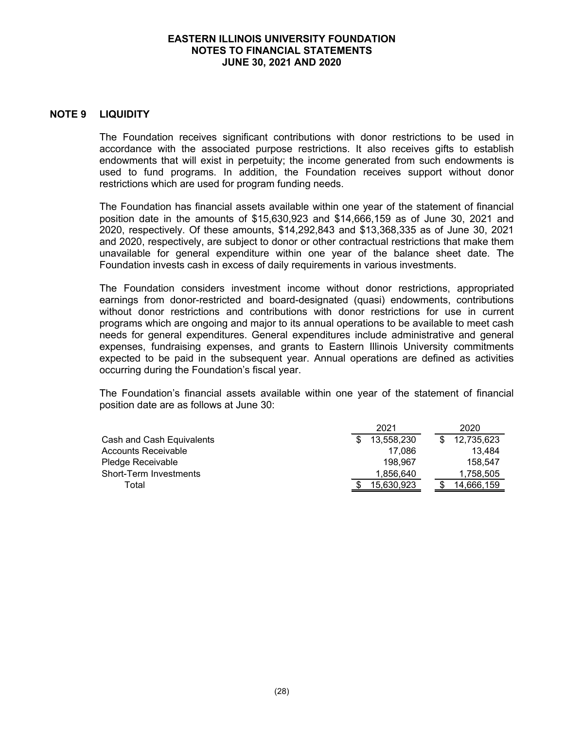#### **NOTE 9 LIQUIDITY**

The Foundation receives significant contributions with donor restrictions to be used in accordance with the associated purpose restrictions. It also receives gifts to establish endowments that will exist in perpetuity; the income generated from such endowments is used to fund programs. In addition, the Foundation receives support without donor restrictions which are used for program funding needs.

The Foundation has financial assets available within one year of the statement of financial position date in the amounts of \$15,630,923 and \$14,666,159 as of June 30, 2021 and 2020, respectively. Of these amounts, \$14,292,843 and \$13,368,335 as of June 30, 2021 and 2020, respectively, are subject to donor or other contractual restrictions that make them unavailable for general expenditure within one year of the balance sheet date. The Foundation invests cash in excess of daily requirements in various investments.

The Foundation considers investment income without donor restrictions, appropriated earnings from donor-restricted and board-designated (quasi) endowments, contributions without donor restrictions and contributions with donor restrictions for use in current programs which are ongoing and major to its annual operations to be available to meet cash needs for general expenditures. General expenditures include administrative and general expenses, fundraising expenses, and grants to Eastern Illinois University commitments expected to be paid in the subsequent year. Annual operations are defined as activities occurring during the Foundation's fiscal year.

The Foundation's financial assets available within one year of the statement of financial position date are as follows at June 30:

| 2020       |
|------------|
| 12,735,623 |
| 13.484     |
| 158.547    |
| 1.758.505  |
| 14.666.159 |
|            |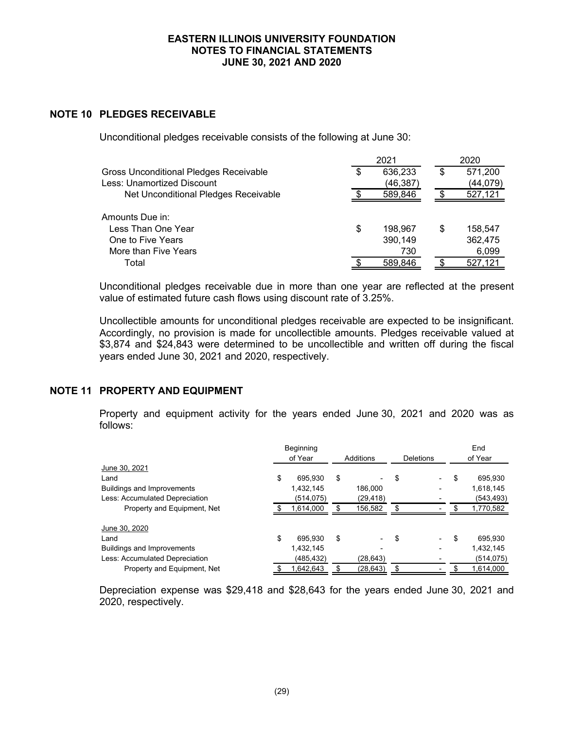## **NOTE 10 PLEDGES RECEIVABLE**

Unconditional pledges receivable consists of the following at June 30:

|                                        | 2021          |    | 2020      |
|----------------------------------------|---------------|----|-----------|
| Gross Unconditional Pledges Receivable | \$<br>636,233 | \$ | 571,200   |
| Less: Unamortized Discount             | (46, 387)     |    | (44, 079) |
| Net Unconditional Pledges Receivable   | 589,846       |    | 527,121   |
| Amounts Due in:                        |               |    |           |
| Less Than One Year                     | \$<br>198.967 | S  | 158.547   |
| One to Five Years                      | 390,149       |    | 362,475   |
| More than Five Years                   | 730           |    | 6,099     |
| Total                                  | 589,846       |    | 527,121   |

Unconditional pledges receivable due in more than one year are reflected at the present value of estimated future cash flows using discount rate of 3.25%.

Uncollectible amounts for unconditional pledges receivable are expected to be insignificant. Accordingly, no provision is made for uncollectible amounts. Pledges receivable valued at \$3,874 and \$24,843 were determined to be uncollectible and written off during the fiscal years ended June 30, 2021 and 2020, respectively.

# **NOTE 11 PROPERTY AND EQUIPMENT**

Property and equipment activity for the years ended June 30, 2021 and 2020 was as follows:

|                                   | Beginning     |     |           |           | End           |
|-----------------------------------|---------------|-----|-----------|-----------|---------------|
|                                   | of Year       |     | Additions | Deletions | of Year       |
| June 30, 2021                     |               |     |           |           |               |
| Land                              | \$<br>695.930 | \$  |           | \$        | \$<br>695,930 |
| <b>Buildings and Improvements</b> | 1,432,145     |     | 186,000   |           | 1,618,145     |
| Less: Accumulated Depreciation    | (514,075)     |     | (29, 418) |           | (543,493)     |
| Property and Equipment, Net       | 1,614,000     |     | 156,582   |           | 1,770,582     |
| June 30, 2020                     |               |     |           |           |               |
| Land                              | \$<br>695.930 | \$  |           | \$        | \$<br>695.930 |
| <b>Buildings and Improvements</b> | 1,432,145     |     |           |           | 1,432,145     |
| Less: Accumulated Depreciation    | (485,432)     |     | (28, 643) |           | (514,075)     |
| Property and Equipment, Net       | 1,642,643     | \$. | (28, 643) | \$        | 1,614,000     |

Depreciation expense was \$29,418 and \$28,643 for the years ended June 30, 2021 and 2020, respectively.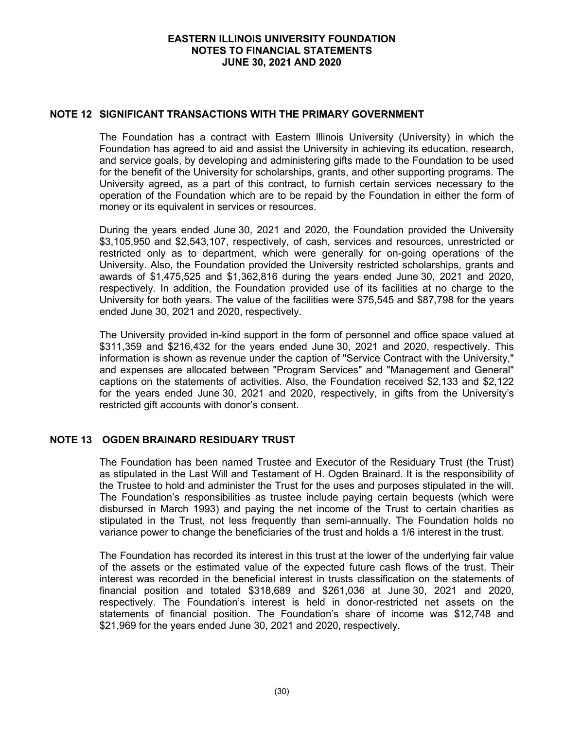## **NOTE 12 SIGNIFICANT TRANSACTIONS WITH THE PRIMARY GOVERNMENT**

The Foundation has a contract with Eastern Illinois University (University) in which the Foundation has agreed to aid and assist the University in achieving its education, research, and service goals, by developing and administering gifts made to the Foundation to be used for the benefit of the University for scholarships, grants, and other supporting programs. The University agreed, as a part of this contract, to furnish certain services necessary to the operation of the Foundation which are to be repaid by the Foundation in either the form of money or its equivalent in services or resources.

During the years ended June 30, 2021 and 2020, the Foundation provided the University \$3,105,950 and \$2,543,107, respectively, of cash, services and resources, unrestricted or restricted only as to department, which were generally for on-going operations of the University. Also, the Foundation provided the University restricted scholarships, grants and awards of \$1,475,525 and \$1,362,816 during the years ended June 30, 2021 and 2020, respectively. In addition, the Foundation provided use of its facilities at no charge to the University for both years. The value of the facilities were \$75,545 and \$87,798 for the years ended June 30, 2021 and 2020, respectively.

The University provided in-kind support in the form of personnel and office space valued at \$311,359 and \$216,432 for the years ended June 30, 2021 and 2020, respectively. This information is shown as revenue under the caption of "Service Contract with the University," and expenses are allocated between "Program Services" and "Management and General" captions on the statements of activities. Also, the Foundation received \$2,133 and \$2,122 for the years ended June 30, 2021 and 2020, respectively, in gifts from the University's restricted gift accounts with donor's consent.

# **NOTE 13 OGDEN BRAINARD RESIDUARY TRUST**

The Foundation has been named Trustee and Executor of the Residuary Trust (the Trust) as stipulated in the Last Will and Testament of H. Ogden Brainard. It is the responsibility of the Trustee to hold and administer the Trust for the uses and purposes stipulated in the will. The Foundation's responsibilities as trustee include paying certain bequests (which were disbursed in March 1993) and paying the net income of the Trust to certain charities as stipulated in the Trust, not less frequently than semi-annually. The Foundation holds no variance power to change the beneficiaries of the trust and holds a 1/6 interest in the trust.

The Foundation has recorded its interest in this trust at the lower of the underlying fair value of the assets or the estimated value of the expected future cash flows of the trust. Their interest was recorded in the beneficial interest in trusts classification on the statements of financial position and totaled \$318,689 and \$261,036 at June 30, 2021 and 2020, respectively. The Foundation's interest is held in donor-restricted net assets on the statements of financial position. The Foundation's share of income was \$12,748 and \$21,969 for the years ended June 30, 2021 and 2020, respectively.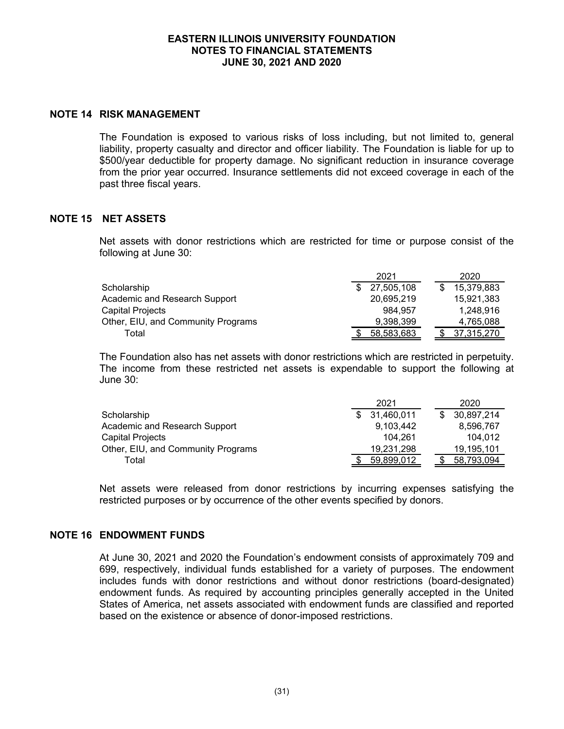#### **NOTE 14 RISK MANAGEMENT**

The Foundation is exposed to various risks of loss including, but not limited to, general liability, property casualty and director and officer liability. The Foundation is liable for up to \$500/year deductible for property damage. No significant reduction in insurance coverage from the prior year occurred. Insurance settlements did not exceed coverage in each of the past three fiscal years.

## **NOTE 15 NET ASSETS**

Net assets with donor restrictions which are restricted for time or purpose consist of the following at June 30:

|                                    | 2021         |  | 2020       |
|------------------------------------|--------------|--|------------|
| Scholarship                        | \$27,505,108 |  | 15,379,883 |
| Academic and Research Support      | 20.695.219   |  | 15.921.383 |
| Capital Projects                   | 984.957      |  | 1,248,916  |
| Other, EIU, and Community Programs | 9.398.399    |  | 4,765,088  |
| Total                              | 58,583,683   |  | 37.315.270 |

The Foundation also has net assets with donor restrictions which are restricted in perpetuity. The income from these restricted net assets is expendable to support the following at June 30:

|                                    | 2021         | 2020       |
|------------------------------------|--------------|------------|
| Scholarship                        | \$31,460,011 | 30,897,214 |
| Academic and Research Support      | 9,103,442    | 8,596,767  |
| Capital Projects                   | 104.261      | 104.012    |
| Other, EIU, and Community Programs | 19,231,298   | 19,195,101 |
| Total                              | 59,899,012   | 58,793,094 |

Net assets were released from donor restrictions by incurring expenses satisfying the restricted purposes or by occurrence of the other events specified by donors.

## **NOTE 16 ENDOWMENT FUNDS**

At June 30, 2021 and 2020 the Foundation's endowment consists of approximately 709 and 699, respectively, individual funds established for a variety of purposes. The endowment includes funds with donor restrictions and without donor restrictions (board-designated) endowment funds. As required by accounting principles generally accepted in the United States of America, net assets associated with endowment funds are classified and reported based on the existence or absence of donor-imposed restrictions.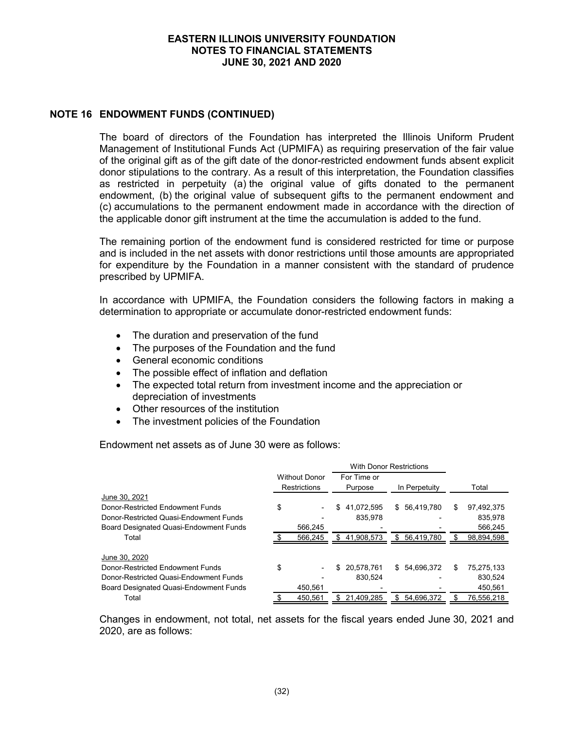## **NOTE 16 ENDOWMENT FUNDS (CONTINUED)**

The board of directors of the Foundation has interpreted the Illinois Uniform Prudent Management of Institutional Funds Act (UPMIFA) as requiring preservation of the fair value of the original gift as of the gift date of the donor-restricted endowment funds absent explicit donor stipulations to the contrary. As a result of this interpretation, the Foundation classifies as restricted in perpetuity (a) the original value of gifts donated to the permanent endowment, (b) the original value of subsequent gifts to the permanent endowment and (c) accumulations to the permanent endowment made in accordance with the direction of the applicable donor gift instrument at the time the accumulation is added to the fund.

The remaining portion of the endowment fund is considered restricted for time or purpose and is included in the net assets with donor restrictions until those amounts are appropriated for expenditure by the Foundation in a manner consistent with the standard of prudence prescribed by UPMIFA.

In accordance with UPMIFA, the Foundation considers the following factors in making a determination to appropriate or accumulate donor-restricted endowment funds:

- The duration and preservation of the fund
- The purposes of the Foundation and the fund
- General economic conditions
- The possible effect of inflation and deflation
- The expected total return from investment income and the appreciation or depreciation of investments
- Other resources of the institution
- The investment policies of the Foundation

Endowment net assets as of June 30 were as follows:

|                                               |                                      |    | <b>With Donor Restrictions</b> |                  |    |            |
|-----------------------------------------------|--------------------------------------|----|--------------------------------|------------------|----|------------|
|                                               | <b>Without Donor</b><br>Restrictions |    | For Time or<br>Purpose         | In Perpetuity    |    | Total      |
| June 30, 2021                                 |                                      |    |                                |                  |    |            |
| Donor-Restricted Endowment Funds              | \$<br>٠                              | \$ | 41,072,595                     | \$56,419,780     | S  | 97,492,375 |
| Donor-Restricted Quasi-Endowment Funds        |                                      |    | 835.978                        |                  |    | 835.978    |
| <b>Board Designated Quasi-Endowment Funds</b> | 566.245                              |    |                                |                  |    | 566.245    |
| Total                                         | 566,245                              | S. | 41,908,573                     | \$<br>56,419,780 |    | 98,894,598 |
| June 30, 2020                                 |                                      |    |                                |                  |    |            |
| Donor-Restricted Endowment Funds              | \$                                   | \$ | 20.578.761                     | \$54,696,372     | \$ | 75,275,133 |
| Donor-Restricted Quasi-Endowment Funds        |                                      |    | 830.524                        |                  |    | 830.524    |
| <b>Board Designated Quasi-Endowment Funds</b> | 450.561                              |    |                                |                  |    | 450.561    |
| Total                                         | 450.561                              | \$ | 21.409.285                     | \$<br>54.696.372 |    | 76,556,218 |

Changes in endowment, not total, net assets for the fiscal years ended June 30, 2021 and 2020, are as follows: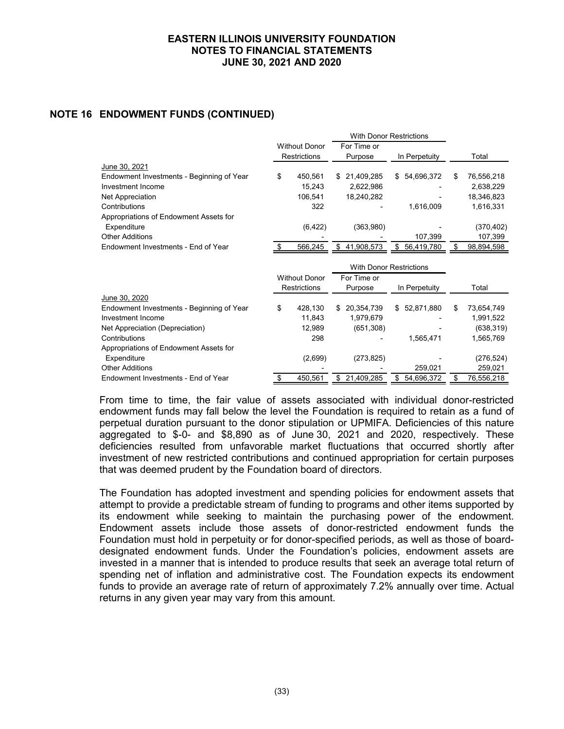# **NOTE 16 ENDOWMENT FUNDS (CONTINUED)**

|                                           |      |                      |             | <b>With Donor Restrictions</b> |                  |    |            |
|-------------------------------------------|------|----------------------|-------------|--------------------------------|------------------|----|------------|
|                                           |      | <b>Without Donor</b> | For Time or |                                |                  |    |            |
|                                           |      | <b>Restrictions</b>  | Purpose     |                                | In Perpetuity    |    | Total      |
| June 30, 2021                             |      |                      |             |                                |                  |    |            |
| Endowment Investments - Beginning of Year | \$   | 450,561              | \$          | 21,409,285                     | \$<br>54,696,372 | S  | 76,556,218 |
| Investment Income                         |      | 15,243               |             | 2,622,986                      |                  |    | 2,638,229  |
| Net Appreciation                          |      | 106,541              |             | 18,240,282                     |                  |    | 18,346,823 |
| Contributions                             |      | 322                  |             |                                | 1,616,009        |    | 1,616,331  |
| Appropriations of Endowment Assets for    |      |                      |             |                                |                  |    |            |
| Expenditure                               |      | (6, 422)             |             | (363,980)                      |                  |    | (370,402)  |
| <b>Other Additions</b>                    |      |                      |             |                                | 107,399          |    | 107,399    |
| Endowment Investments - End of Year       | - \$ | 566,245              | \$          | 41,908,573                     | \$<br>56,419,780 | \$ | 98,894,598 |
|                                           |      |                      |             |                                |                  |    |            |
|                                           |      |                      |             |                                |                  |    |            |
|                                           |      |                      |             | <b>With Donor Restrictions</b> |                  |    |            |
|                                           |      | <b>Without Donor</b> | For Time or |                                |                  |    |            |
|                                           |      | <b>Restrictions</b>  | Purpose     |                                | In Perpetuity    |    | Total      |
| June 30, 2020                             |      |                      |             |                                |                  |    |            |
| Endowment Investments - Beginning of Year | \$   | 428,130              | \$.         | 20,354,739                     | \$<br>52,871,880 | \$ | 73,654,749 |
| Investment Income                         |      | 11,843               |             | 1,979,679                      |                  |    | 1,991,522  |
| Net Appreciation (Depreciation)           |      | 12,989               |             | (651, 308)                     |                  |    | (638,319)  |
| Contributions                             |      | 298                  |             |                                | 1,565,471        |    | 1,565,769  |
| Appropriations of Endowment Assets for    |      |                      |             |                                |                  |    |            |
| Expenditure                               |      | (2,699)              |             | (273, 825)                     |                  |    | (276, 524) |
| <b>Other Additions</b>                    |      |                      |             |                                | 259,021          |    | 259,021    |

From time to time, the fair value of assets associated with individual donor-restricted endowment funds may fall below the level the Foundation is required to retain as a fund of perpetual duration pursuant to the donor stipulation or UPMIFA. Deficiencies of this nature aggregated to \$-0- and \$8,890 as of June 30, 2021 and 2020, respectively. These deficiencies resulted from unfavorable market fluctuations that occurred shortly after investment of new restricted contributions and continued appropriation for certain purposes that was deemed prudent by the Foundation board of directors.

The Foundation has adopted investment and spending policies for endowment assets that attempt to provide a predictable stream of funding to programs and other items supported by its endowment while seeking to maintain the purchasing power of the endowment. Endowment assets include those assets of donor-restricted endowment funds the Foundation must hold in perpetuity or for donor-specified periods, as well as those of boarddesignated endowment funds. Under the Foundation's policies, endowment assets are invested in a manner that is intended to produce results that seek an average total return of spending net of inflation and administrative cost. The Foundation expects its endowment funds to provide an average rate of return of approximately 7.2% annually over time. Actual returns in any given year may vary from this amount.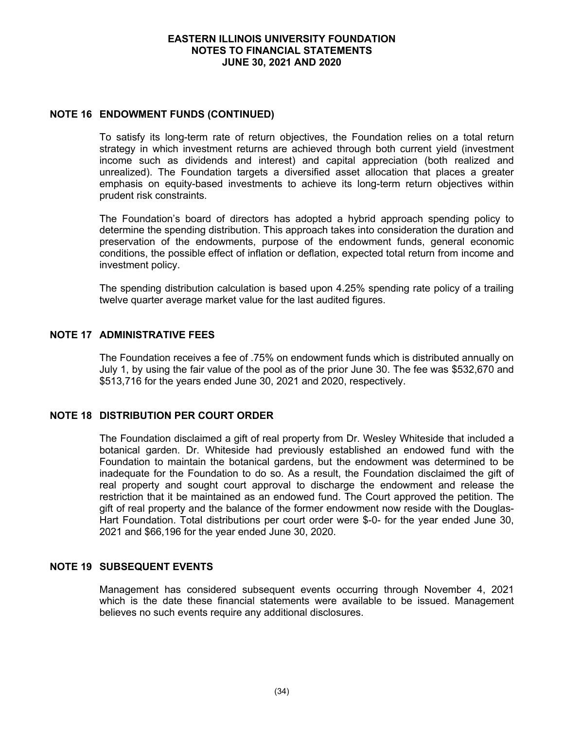## **NOTE 16 ENDOWMENT FUNDS (CONTINUED)**

To satisfy its long-term rate of return objectives, the Foundation relies on a total return strategy in which investment returns are achieved through both current yield (investment income such as dividends and interest) and capital appreciation (both realized and unrealized). The Foundation targets a diversified asset allocation that places a greater emphasis on equity-based investments to achieve its long-term return objectives within prudent risk constraints.

The Foundation's board of directors has adopted a hybrid approach spending policy to determine the spending distribution. This approach takes into consideration the duration and preservation of the endowments, purpose of the endowment funds, general economic conditions, the possible effect of inflation or deflation, expected total return from income and investment policy.

The spending distribution calculation is based upon 4.25% spending rate policy of a trailing twelve quarter average market value for the last audited figures.

# **NOTE 17 ADMINISTRATIVE FEES**

The Foundation receives a fee of .75% on endowment funds which is distributed annually on July 1, by using the fair value of the pool as of the prior June 30. The fee was \$532,670 and \$513,716 for the years ended June 30, 2021 and 2020, respectively.

# **NOTE 18 DISTRIBUTION PER COURT ORDER**

The Foundation disclaimed a gift of real property from Dr. Wesley Whiteside that included a botanical garden. Dr. Whiteside had previously established an endowed fund with the Foundation to maintain the botanical gardens, but the endowment was determined to be inadequate for the Foundation to do so. As a result, the Foundation disclaimed the gift of real property and sought court approval to discharge the endowment and release the restriction that it be maintained as an endowed fund. The Court approved the petition. The gift of real property and the balance of the former endowment now reside with the Douglas-Hart Foundation. Total distributions per court order were \$-0- for the year ended June 30, 2021 and \$66,196 for the year ended June 30, 2020.

## **NOTE 19 SUBSEQUENT EVENTS**

Management has considered subsequent events occurring through November 4, 2021 which is the date these financial statements were available to be issued. Management believes no such events require any additional disclosures.